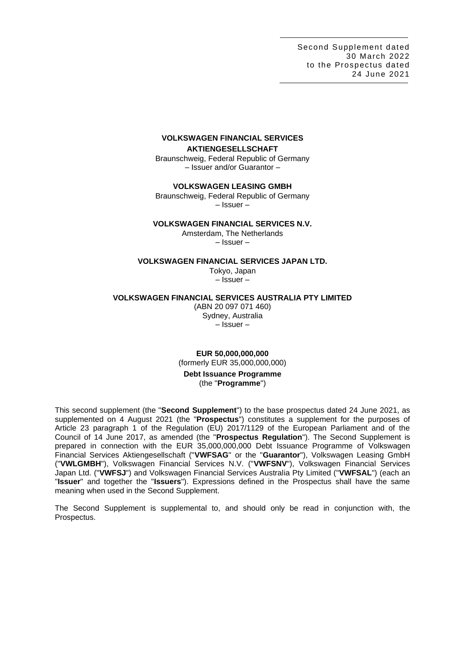Second Supplement dated 30 March 2022 to the Prospectus dated 24 June 2021

# **VOLKSWAGEN FINANCIAL SERVICES AKTIENGESELLSCHAFT**

Braunschweig, Federal Republic of Germany – Issuer and/or Guarantor –

**VOLKSWAGEN LEASING GMBH**

Braunschweig, Federal Republic of Germany – Issuer –

# **VOLKSWAGEN FINANCIAL SERVICES N.V.**

Amsterdam, The Netherlands – Issuer –

#### **VOLKSWAGEN FINANCIAL SERVICES JAPAN LTD.**

Tokyo, Japan – Issuer –

#### **VOLKSWAGEN FINANCIAL SERVICES AUSTRALIA PTY LIMITED**

(ABN 20 097 071 460) Sydney, Australia – Issuer –

**EUR 50,000,000,000** (formerly EUR 35,000,000,000) **Debt Issuance Programme**

# (the "**Programme**")

This second supplement (the "**Second Supplement**") to the base prospectus dated 24 June 2021, as supplemented on 4 August 2021 (the "**Prospectus**") constitutes a supplement for the purposes of Article 23 paragraph 1 of the Regulation (EU) 2017/1129 of the European Parliament and of the Council of 14 June 2017, as amended (the "**Prospectus Regulation**"). The Second Supplement is prepared in connection with the EUR 35,000,000,000 Debt Issuance Programme of Volkswagen Financial Services Aktiengesellschaft ("**VWFSAG**" or the "**Guarantor**"), Volkswagen Leasing GmbH ("**VWLGMBH**"), Volkswagen Financial Services N.V. ("**VWFSNV**"), Volkswagen Financial Services Japan Ltd. ("**VWFSJ**") and Volkswagen Financial Services Australia Pty Limited ("**VWFSAL**") (each an "**Issuer**" and together the "**Issuers**"). Expressions defined in the Prospectus shall have the same meaning when used in the Second Supplement.

The Second Supplement is supplemental to, and should only be read in conjunction with, the Prospectus.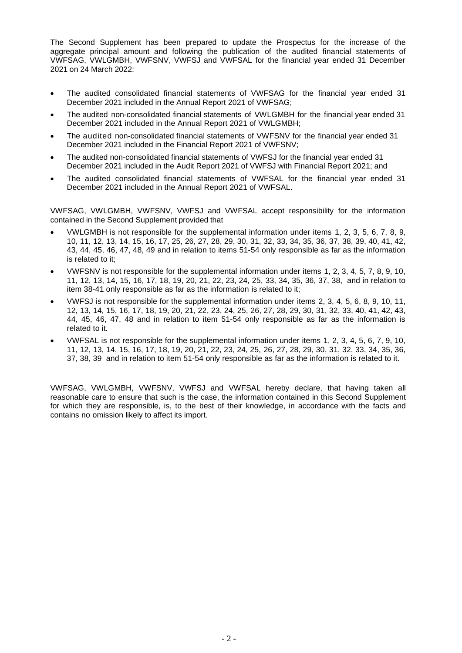The Second Supplement has been prepared to update the Prospectus for the increase of the aggregate principal amount and following the publication of the audited financial statements of VWFSAG, VWLGMBH, VWFSNV, VWFSJ and VWFSAL for the financial year ended 31 December 2021 on 24 March 2022:

- The audited consolidated financial statements of VWFSAG for the financial year ended 31 December 2021 included in the Annual Report 2021 of VWFSAG;
- The audited non-consolidated financial statements of VWLGMBH for the financial year ended 31 December 2021 included in the Annual Report 2021 of VWLGMBH;
- The audited non-consolidated financial statements of VWFSNV for the financial year ended 31 December 2021 included in the Financial Report 2021 of VWFSNV;
- The audited non-consolidated financial statements of VWFSJ for the financial year ended 31 December 2021 included in the Audit Report 2021 of VWFSJ with Financial Report 2021; and
- The audited consolidated financial statements of VWFSAL for the financial year ended 31 December 2021 included in the Annual Report 2021 of VWFSAL.

VWFSAG, VWLGMBH, VWFSNV, VWFSJ and VWFSAL accept responsibility for the information contained in the Second Supplement provided that

- VWLGMBH is not responsible for the supplemental information under items 1, 2, 3, 5, 6, 7, 8, 9, 10, 11, 12, 13, 14, 15, 16, 17, 25, 26, 27, 28, 29, 30, 31, 32, 33, 34, 35, 36, 37, 38, 39, 40, 41, 42, 43, 44, 45, 46, 47, 48, 49 and in relation to items 51-54 only responsible as far as the information is related to it;
- VWFSNV is not responsible for the supplemental information under items 1, 2, 3, 4, 5, 7, 8, 9, 10, 11, 12, 13, 14, 15, 16, 17, 18, 19, 20, 21, 22, 23, 24, 25, 33, 34, 35, 36, 37, 38, and in relation to item 38-41 only responsible as far as the information is related to it;
- VWFSJ is not responsible for the supplemental information under items 2, 3, 4, 5, 6, 8, 9, 10, 11, 12, 13, 14, 15, 16, 17, 18, 19, 20, 21, 22, 23, 24, 25, 26, 27, 28, 29, 30, 31, 32, 33, 40, 41, 42, 43, 44, 45, 46, 47, 48 and in relation to item 51-54 only responsible as far as the information is related to it.
- VWFSAL is not responsible for the supplemental information under items 1, 2, 3, 4, 5, 6, 7, 9, 10, 11, 12, 13, 14, 15, 16, 17, 18, 19, 20, 21, 22, 23, 24, 25, 26, 27, 28, 29, 30, 31, 32, 33, 34, 35, 36, 37, 38, 39 and in relation to item 51-54 only responsible as far as the information is related to it.

VWFSAG, VWLGMBH, VWFSNV, VWFSJ and VWFSAL hereby declare, that having taken all reasonable care to ensure that such is the case, the information contained in this Second Supplement for which they are responsible, is, to the best of their knowledge, in accordance with the facts and contains no omission likely to affect its import.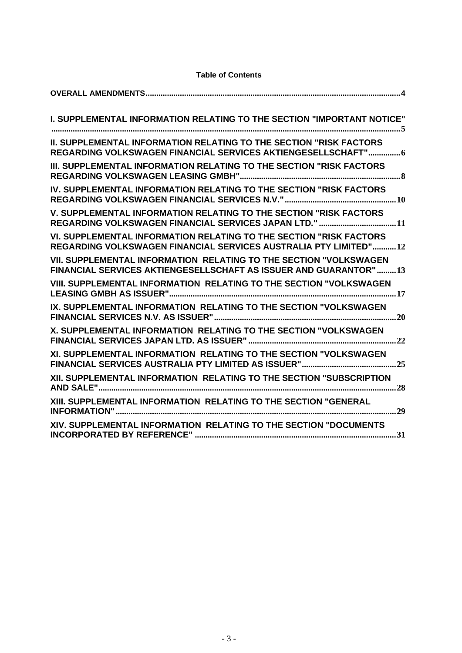| I. SUPPLEMENTAL INFORMATION RELATING TO THE SECTION "IMPORTANT NOTICE"                                                                     |
|--------------------------------------------------------------------------------------------------------------------------------------------|
| <b>II. SUPPLEMENTAL INFORMATION RELATING TO THE SECTION "RISK FACTORS</b><br>REGARDING VOLKSWAGEN FINANCIAL SERVICES AKTIENGESELLSCHAFT" 6 |
| III. SUPPLEMENTAL INFORMATION RELATING TO THE SECTION "RISK FACTORS                                                                        |
| IV. SUPPLEMENTAL INFORMATION RELATING TO THE SECTION "RISK FACTORS                                                                         |
| V. SUPPLEMENTAL INFORMATION RELATING TO THE SECTION "RISK FACTORS<br>REGARDING VOLKSWAGEN FINANCIAL SERVICES JAPAN LTD." 11                |
| VI. SUPPLEMENTAL INFORMATION RELATING TO THE SECTION "RISK FACTORS<br>REGARDING VOLKSWAGEN FINANCIAL SERVICES AUSTRALIA PTY LIMITED"12     |
| VII. SUPPLEMENTAL INFORMATION RELATING TO THE SECTION "VOLKSWAGEN<br>FINANCIAL SERVICES AKTIENGESELLSCHAFT AS ISSUER AND GUARANTOR"13      |
| VIII. SUPPLEMENTAL INFORMATION RELATING TO THE SECTION "VOLKSWAGEN                                                                         |
| IX. SUPPLEMENTAL INFORMATION RELATING TO THE SECTION "VOLKSWAGEN                                                                           |
| X. SUPPLEMENTAL INFORMATION RELATING TO THE SECTION "VOLKSWAGEN                                                                            |
| XI. SUPPLEMENTAL INFORMATION RELATING TO THE SECTION "VOLKSWAGEN                                                                           |
| XII. SUPPLEMENTAL INFORMATION RELATING TO THE SECTION "SUBSCRIPTION                                                                        |
| XIII. SUPPLEMENTAL INFORMATION RELATING TO THE SECTION "GENERAL                                                                            |
| XIV. SUPPLEMENTAL INFORMATION RELATING TO THE SECTION "DOCUMENTS                                                                           |

# **Table of Contents**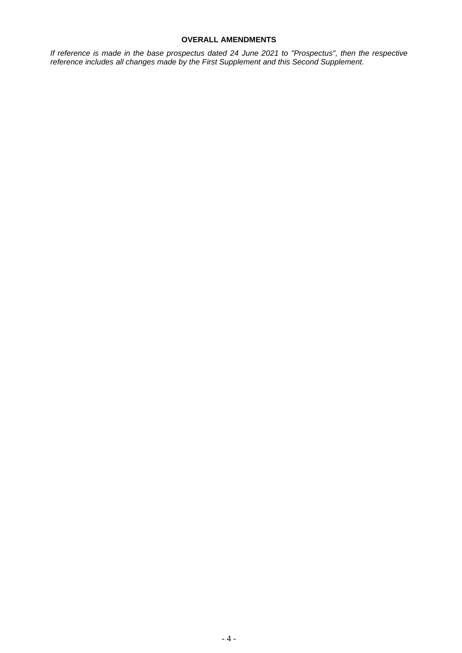# **OVERALL AMENDMENTS**

<span id="page-3-0"></span>*If reference is made in the base prospectus dated 24 June 2021 to "Prospectus", then the respective reference includes all changes made by the First Supplement and this Second Supplement.*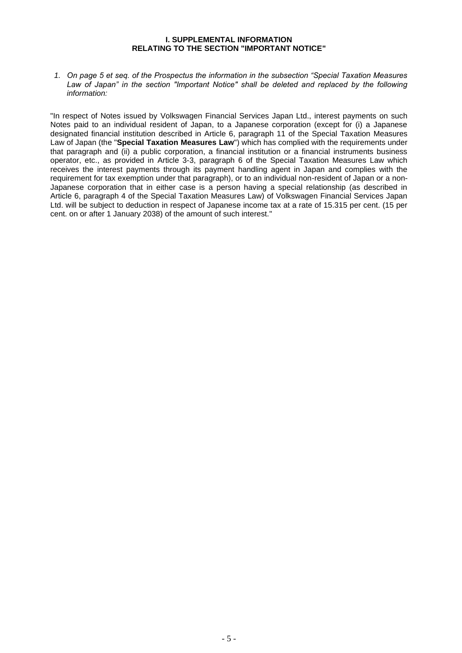## **I. SUPPLEMENTAL INFORMATION RELATING TO THE SECTION "IMPORTANT NOTICE"**

<span id="page-4-0"></span>*1. On page 5 et seq. of the Prospectus the information in the subsection "Special Taxation Measures Law of Japan" in the section "Important Notice" shall be deleted and replaced by the following information:* 

"In respect of Notes issued by Volkswagen Financial Services Japan Ltd., interest payments on such Notes paid to an individual resident of Japan, to a Japanese corporation (except for (i) a Japanese designated financial institution described in Article 6, paragraph 11 of the Special Taxation Measures Law of Japan (the "**Special Taxation Measures Law**") which has complied with the requirements under that paragraph and (ii) a public corporation, a financial institution or a financial instruments business operator, etc., as provided in Article 3-3, paragraph 6 of the Special Taxation Measures Law which receives the interest payments through its payment handling agent in Japan and complies with the requirement for tax exemption under that paragraph), or to an individual non-resident of Japan or a non-Japanese corporation that in either case is a person having a special relationship (as described in Article 6, paragraph 4 of the Special Taxation Measures Law) of Volkswagen Financial Services Japan Ltd. will be subject to deduction in respect of Japanese income tax at a rate of 15.315 per cent. (15 per cent. on or after 1 January 2038) of the amount of such interest."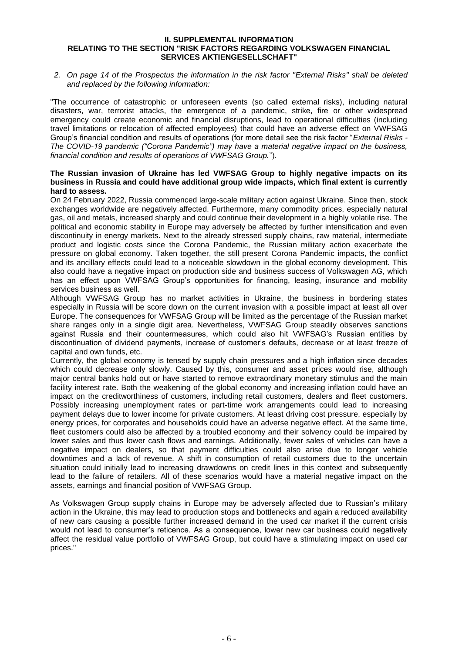#### <span id="page-5-0"></span>**II. SUPPLEMENTAL INFORMATION RELATING TO THE SECTION "RISK FACTORS REGARDING VOLKSWAGEN FINANCIAL SERVICES AKTIENGESELLSCHAFT"**

*2. On page 14 of the Prospectus the information in the risk factor "External Risks" shall be deleted and replaced by the following information:* 

"The occurrence of catastrophic or unforeseen events (so called external risks), including natural disasters, war, terrorist attacks, the emergence of a pandemic, strike, fire or other widespread emergency could create economic and financial disruptions, lead to operational difficulties (including travel limitations or relocation of affected employees) that could have an adverse effect on VWFSAG Group's financial condition and results of operations (for more detail see the risk factor "*External Risks - The COVID-19 pandemic ("Corona Pandemic") may have a material negative impact on the business, financial condition and results of operations of VWFSAG Group.*").

# **The Russian invasion of Ukraine has led VWFSAG Group to highly negative impacts on its business in Russia and could have additional group wide impacts, which final extent is currently hard to assess.**

On 24 February 2022, Russia commenced large-scale military action against Ukraine. Since then, stock exchanges worldwide are negatively affected. Furthermore, many commodity prices, especially natural gas, oil and metals, increased sharply and could continue their development in a highly volatile rise. The political and economic stability in Europe may adversely be affected by further intensification and even discontinuity in energy markets. Next to the already stressed supply chains, raw material, intermediate product and logistic costs since the Corona Pandemic, the Russian military action exacerbate the pressure on global economy. Taken together, the still present Corona Pandemic impacts, the conflict and its ancillary effects could lead to a noticeable slowdown in the global economy development. This also could have a negative impact on production side and business success of Volkswagen AG, which has an effect upon VWFSAG Group's opportunities for financing, leasing, insurance and mobility services business as well.

Although VWFSAG Group has no market activities in Ukraine, the business in bordering states especially in Russia will be score down on the current invasion with a possible impact at least all over Europe. The consequences for VWFSAG Group will be limited as the percentage of the Russian market share ranges only in a single digit area. Nevertheless, VWFSAG Group steadily observes sanctions against Russia and their countermeasures, which could also hit VWFSAG's Russian entities by discontinuation of dividend payments, increase of customer's defaults, decrease or at least freeze of capital and own funds, etc.

Currently, the global economy is tensed by supply chain pressures and a high inflation since decades which could decrease only slowly. Caused by this, consumer and asset prices would rise, although major central banks hold out or have started to remove extraordinary monetary stimulus and the main facility interest rate. Both the weakening of the global economy and increasing inflation could have an impact on the creditworthiness of customers, including retail customers, dealers and fleet customers. Possibly increasing unemployment rates or part-time work arrangements could lead to increasing payment delays due to lower income for private customers. At least driving cost pressure, especially by energy prices, for corporates and households could have an adverse negative effect. At the same time, fleet customers could also be affected by a troubled economy and their solvency could be impaired by lower sales and thus lower cash flows and earnings. Additionally, fewer sales of vehicles can have a negative impact on dealers, so that payment difficulties could also arise due to longer vehicle downtimes and a lack of revenue. A shift in consumption of retail customers due to the uncertain situation could initially lead to increasing drawdowns on credit lines in this context and subsequently lead to the failure of retailers. All of these scenarios would have a material negative impact on the assets, earnings and financial position of VWFSAG Group.

As Volkswagen Group supply chains in Europe may be adversely affected due to Russian's military action in the Ukraine, this may lead to production stops and bottlenecks and again a reduced availability of new cars causing a possible further increased demand in the used car market if the current crisis would not lead to consumer's reticence. As a consequence, lower new car business could negatively affect the residual value portfolio of VWFSAG Group, but could have a stimulating impact on used car prices."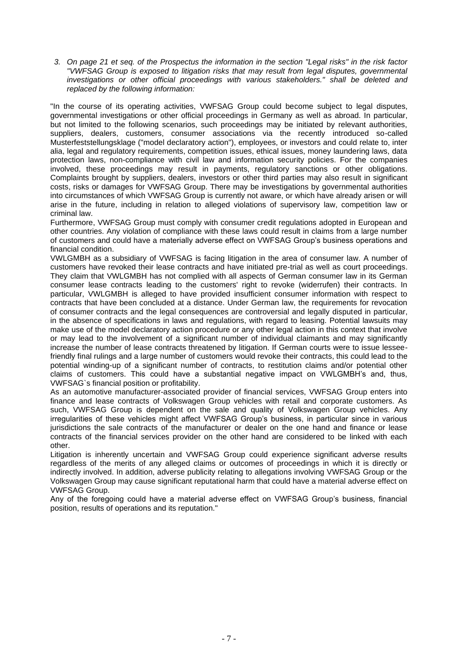*3. On page 21 et seq. of the Prospectus the information in the section "Legal risks" in the risk factor "VWFSAG Group is exposed to litigation risks that may result from legal disputes, governmental investigations or other official proceedings with various stakeholders." shall be deleted and replaced by the following information:*

"In the course of its operating activities, VWFSAG Group could become subject to legal disputes, governmental investigations or other official proceedings in Germany as well as abroad. In particular, but not limited to the following scenarios, such proceedings may be initiated by relevant authorities, suppliers, dealers, customers, consumer associations via the recently introduced so-called Musterfeststellungsklage ("model declaratory action"), employees, or investors and could relate to, inter alia, legal and regulatory requirements, competition issues, ethical issues, money laundering laws, data protection laws, non-compliance with civil law and information security policies. For the companies involved, these proceedings may result in payments, regulatory sanctions or other obligations. Complaints brought by suppliers, dealers, investors or other third parties may also result in significant costs, risks or damages for VWFSAG Group. There may be investigations by governmental authorities into circumstances of which VWFSAG Group is currently not aware, or which have already arisen or will arise in the future, including in relation to alleged violations of supervisory law, competition law or criminal law.

Furthermore, VWFSAG Group must comply with consumer credit regulations adopted in European and other countries. Any violation of compliance with these laws could result in claims from a large number of customers and could have a materially adverse effect on VWFSAG Group's business operations and financial condition.

VWLGMBH as a subsidiary of VWFSAG is facing litigation in the area of consumer law. A number of customers have revoked their lease contracts and have initiated pre-trial as well as court proceedings. They claim that VWLGMBH has not complied with all aspects of German consumer law in its German consumer lease contracts leading to the customers' right to revoke (widerrufen) their contracts. In particular, VWLGMBH is alleged to have provided insufficient consumer information with respect to contracts that have been concluded at a distance. Under German law, the requirements for revocation of consumer contracts and the legal consequences are controversial and legally disputed in particular, in the absence of specifications in laws and regulations, with regard to leasing. Potential lawsuits may make use of the model declaratory action procedure or any other legal action in this context that involve or may lead to the involvement of a significant number of individual claimants and may significantly increase the number of lease contracts threatened by litigation. If German courts were to issue lesseefriendly final rulings and a large number of customers would revoke their contracts, this could lead to the potential winding-up of a significant number of contracts, to restitution claims and/or potential other claims of customers. This could have a substantial negative impact on VWLGMBH's and, thus, VWFSAG`s financial position or profitability.

As an automotive manufacturer-associated provider of financial services, VWFSAG Group enters into finance and lease contracts of Volkswagen Group vehicles with retail and corporate customers. As such, VWFSAG Group is dependent on the sale and quality of Volkswagen Group vehicles. Any irregularities of these vehicles might affect VWFSAG Group's business, in particular since in various jurisdictions the sale contracts of the manufacturer or dealer on the one hand and finance or lease contracts of the financial services provider on the other hand are considered to be linked with each other.

Litigation is inherently uncertain and VWFSAG Group could experience significant adverse results regardless of the merits of any alleged claims or outcomes of proceedings in which it is directly or indirectly involved. In addition, adverse publicity relating to allegations involving VWFSAG Group or the Volkswagen Group may cause significant reputational harm that could have a material adverse effect on VWFSAG Group.

Any of the foregoing could have a material adverse effect on VWFSAG Group's business, financial position, results of operations and its reputation."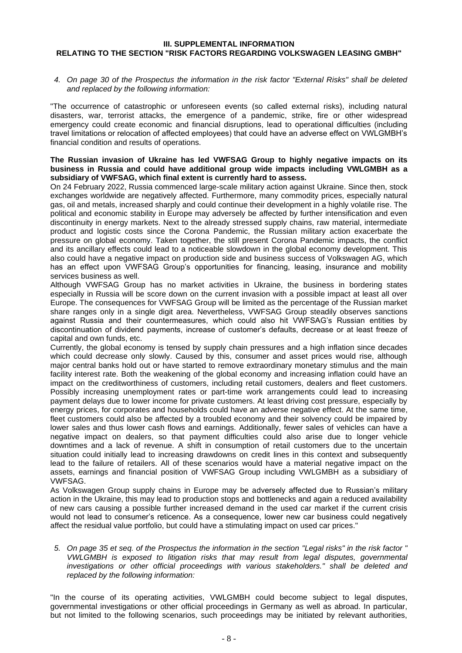#### <span id="page-7-0"></span>**III. SUPPLEMENTAL INFORMATION RELATING TO THE SECTION "RISK FACTORS REGARDING VOLKSWAGEN LEASING GMBH"**

*4. On page 30 of the Prospectus the information in the risk factor "External Risks" shall be deleted and replaced by the following information:* 

"The occurrence of catastrophic or unforeseen events (so called external risks), including natural disasters, war, terrorist attacks, the emergence of a pandemic, strike, fire or other widespread emergency could create economic and financial disruptions, lead to operational difficulties (including travel limitations or relocation of affected employees) that could have an adverse effect on VWLGMBH's financial condition and results of operations.

# **The Russian invasion of Ukraine has led VWFSAG Group to highly negative impacts on its business in Russia and could have additional group wide impacts including VWLGMBH as a subsidiary of VWFSAG, which final extent is currently hard to assess.**

On 24 February 2022, Russia commenced large-scale military action against Ukraine. Since then, stock exchanges worldwide are negatively affected. Furthermore, many commodity prices, especially natural gas, oil and metals, increased sharply and could continue their development in a highly volatile rise. The political and economic stability in Europe may adversely be affected by further intensification and even discontinuity in energy markets. Next to the already stressed supply chains, raw material, intermediate product and logistic costs since the Corona Pandemic, the Russian military action exacerbate the pressure on global economy. Taken together, the still present Corona Pandemic impacts, the conflict and its ancillary effects could lead to a noticeable slowdown in the global economy development. This also could have a negative impact on production side and business success of Volkswagen AG, which has an effect upon VWFSAG Group's opportunities for financing, leasing, insurance and mobility services business as well.

Although VWFSAG Group has no market activities in Ukraine, the business in bordering states especially in Russia will be score down on the current invasion with a possible impact at least all over Europe. The consequences for VWFSAG Group will be limited as the percentage of the Russian market share ranges only in a single digit area. Nevertheless, VWFSAG Group steadily observes sanctions against Russia and their countermeasures, which could also hit VWFSAG's Russian entities by discontinuation of dividend payments, increase of customer's defaults, decrease or at least freeze of capital and own funds, etc.

Currently, the global economy is tensed by supply chain pressures and a high inflation since decades which could decrease only slowly. Caused by this, consumer and asset prices would rise, although major central banks hold out or have started to remove extraordinary monetary stimulus and the main facility interest rate. Both the weakening of the global economy and increasing inflation could have an impact on the creditworthiness of customers, including retail customers, dealers and fleet customers. Possibly increasing unemployment rates or part-time work arrangements could lead to increasing payment delays due to lower income for private customers. At least driving cost pressure, especially by energy prices, for corporates and households could have an adverse negative effect. At the same time, fleet customers could also be affected by a troubled economy and their solvency could be impaired by lower sales and thus lower cash flows and earnings. Additionally, fewer sales of vehicles can have a negative impact on dealers, so that payment difficulties could also arise due to longer vehicle downtimes and a lack of revenue. A shift in consumption of retail customers due to the uncertain situation could initially lead to increasing drawdowns on credit lines in this context and subsequently lead to the failure of retailers. All of these scenarios would have a material negative impact on the assets, earnings and financial position of VWFSAG Group including VWLGMBH as a subsidiary of VWFSAG.

As Volkswagen Group supply chains in Europe may be adversely affected due to Russian's military action in the Ukraine, this may lead to production stops and bottlenecks and again a reduced availability of new cars causing a possible further increased demand in the used car market if the current crisis would not lead to consumer's reticence. As a consequence, lower new car business could negatively affect the residual value portfolio, but could have a stimulating impact on used car prices."

*5. On page 35 et seq. of the Prospectus the information in the section "Legal risks" in the risk factor " VWLGMBH is exposed to litigation risks that may result from legal disputes, governmental investigations or other official proceedings with various stakeholders." shall be deleted and replaced by the following information:*

"In the course of its operating activities, VWLGMBH could become subject to legal disputes, governmental investigations or other official proceedings in Germany as well as abroad. In particular, but not limited to the following scenarios, such proceedings may be initiated by relevant authorities,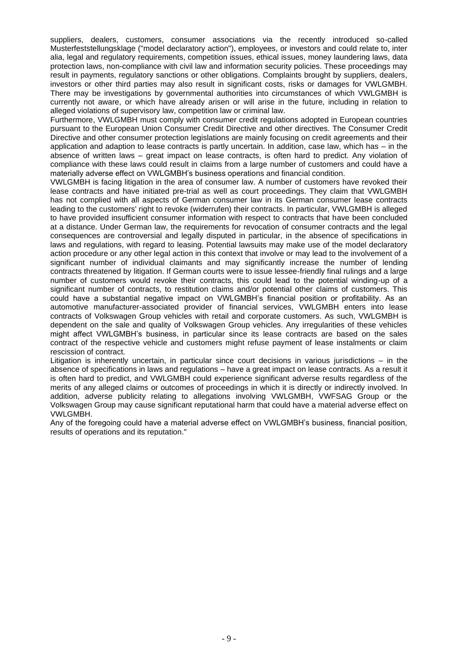suppliers, dealers, customers, consumer associations via the recently introduced so-called Musterfeststellungsklage ("model declaratory action"), employees, or investors and could relate to, inter alia, legal and regulatory requirements, competition issues, ethical issues, money laundering laws, data protection laws, non-compliance with civil law and information security policies. These proceedings may result in payments, regulatory sanctions or other obligations. Complaints brought by suppliers, dealers, investors or other third parties may also result in significant costs, risks or damages for VWLGMBH. There may be investigations by governmental authorities into circumstances of which VWLGMBH is currently not aware, or which have already arisen or will arise in the future, including in relation to alleged violations of supervisory law, competition law or criminal law.

Furthermore, VWLGMBH must comply with consumer credit regulations adopted in European countries pursuant to the European Union Consumer Credit Directive and other directives. The Consumer Credit Directive and other consumer protection legislations are mainly focusing on credit agreements and their application and adaption to lease contracts is partly uncertain. In addition, case law, which has – in the absence of written laws – great impact on lease contracts, is often hard to predict. Any violation of compliance with these laws could result in claims from a large number of customers and could have a materially adverse effect on VWLGMBH's business operations and financial condition.

VWLGMBH is facing litigation in the area of consumer law. A number of customers have revoked their lease contracts and have initiated pre-trial as well as court proceedings. They claim that VWLGMBH has not complied with all aspects of German consumer law in its German consumer lease contracts leading to the customers' right to revoke (widerrufen) their contracts. In particular, VWLGMBH is alleged to have provided insufficient consumer information with respect to contracts that have been concluded at a distance. Under German law, the requirements for revocation of consumer contracts and the legal consequences are controversial and legally disputed in particular, in the absence of specifications in laws and regulations, with regard to leasing. Potential lawsuits may make use of the model declaratory action procedure or any other legal action in this context that involve or may lead to the involvement of a significant number of individual claimants and may significantly increase the number of lending contracts threatened by litigation. If German courts were to issue lessee-friendly final rulings and a large number of customers would revoke their contracts, this could lead to the potential winding-up of a significant number of contracts, to restitution claims and/or potential other claims of customers. This could have a substantial negative impact on VWLGMBH's financial position or profitability. As an automotive manufacturer-associated provider of financial services, VWLGMBH enters into lease contracts of Volkswagen Group vehicles with retail and corporate customers. As such, VWLGMBH is dependent on the sale and quality of Volkswagen Group vehicles. Any irregularities of these vehicles might affect VWLGMBH's business, in particular since its lease contracts are based on the sales contract of the respective vehicle and customers might refuse payment of lease instalments or claim rescission of contract.

Litigation is inherently uncertain, in particular since court decisions in various jurisdictions – in the absence of specifications in laws and regulations – have a great impact on lease contracts. As a result it is often hard to predict, and VWLGMBH could experience significant adverse results regardless of the merits of any alleged claims or outcomes of proceedings in which it is directly or indirectly involved. In addition, adverse publicity relating to allegations involving VWLGMBH, VWFSAG Group or the Volkswagen Group may cause significant reputational harm that could have a material adverse effect on VWLGMBH.

Any of the foregoing could have a material adverse effect on VWLGMBH's business, financial position, results of operations and its reputation."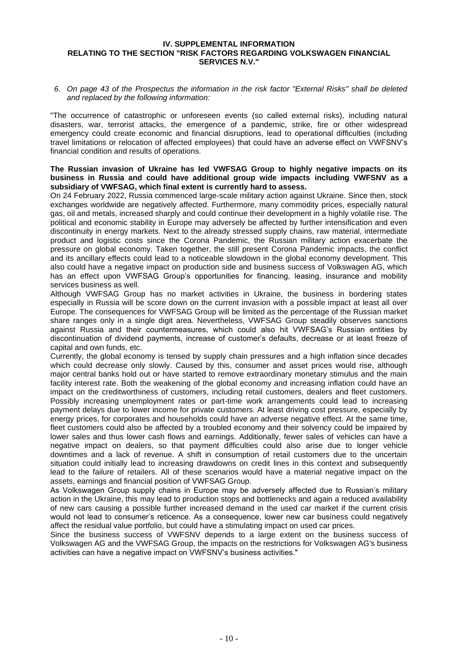#### <span id="page-9-0"></span>**IV. SUPPLEMENTAL INFORMATION RELATING TO THE SECTION "RISK FACTORS REGARDING VOLKSWAGEN FINANCIAL SERVICES N.V."**

*6. On page 43 of the Prospectus the information in the risk factor "External Risks" shall be deleted and replaced by the following information:* 

"The occurrence of catastrophic or unforeseen events (so called external risks), including natural disasters, war, terrorist attacks, the emergence of a pandemic, strike, fire or other widespread emergency could create economic and financial disruptions, lead to operational difficulties (including travel limitations or relocation of affected employees) that could have an adverse effect on VWFSNV's financial condition and results of operations.

# **The Russian invasion of Ukraine has led VWFSAG Group to highly negative impacts on its business in Russia and could have additional group wide impacts including VWFSNV as a subsidiary of VWFSAG, which final extent is currently hard to assess.**

On 24 February 2022, Russia commenced large-scale military action against Ukraine. Since then, stock exchanges worldwide are negatively affected. Furthermore, many commodity prices, especially natural gas, oil and metals, increased sharply and could continue their development in a highly volatile rise. The political and economic stability in Europe may adversely be affected by further intensification and even discontinuity in energy markets. Next to the already stressed supply chains, raw material, intermediate product and logistic costs since the Corona Pandemic, the Russian military action exacerbate the pressure on global economy. Taken together, the still present Corona Pandemic impacts, the conflict and its ancillary effects could lead to a noticeable slowdown in the global economy development. This also could have a negative impact on production side and business success of Volkswagen AG, which has an effect upon VWFSAG Group's opportunities for financing, leasing, insurance and mobility services business as well.

Although VWFSAG Group has no market activities in Ukraine, the business in bordering states especially in Russia will be score down on the current invasion with a possible impact at least all over Europe. The consequences for VWFSAG Group will be limited as the percentage of the Russian market share ranges only in a single digit area. Nevertheless, VWFSAG Group steadily observes sanctions against Russia and their countermeasures, which could also hit VWFSAG's Russian entities by discontinuation of dividend payments, increase of customer's defaults, decrease or at least freeze of capital and own funds, etc.

Currently, the global economy is tensed by supply chain pressures and a high inflation since decades which could decrease only slowly. Caused by this, consumer and asset prices would rise, although major central banks hold out or have started to remove extraordinary monetary stimulus and the main facility interest rate. Both the weakening of the global economy and increasing inflation could have an impact on the creditworthiness of customers, including retail customers, dealers and fleet customers. Possibly increasing unemployment rates or part-time work arrangements could lead to increasing payment delays due to lower income for private customers. At least driving cost pressure, especially by energy prices, for corporates and households could have an adverse negative effect. At the same time, fleet customers could also be affected by a troubled economy and their solvency could be impaired by lower sales and thus lower cash flows and earnings. Additionally, fewer sales of vehicles can have a negative impact on dealers, so that payment difficulties could also arise due to longer vehicle downtimes and a lack of revenue. A shift in consumption of retail customers due to the uncertain situation could initially lead to increasing drawdowns on credit lines in this context and subsequently lead to the failure of retailers. All of these scenarios would have a material negative impact on the assets, earnings and financial position of VWFSAG Group.

As Volkswagen Group supply chains in Europe may be adversely affected due to Russian's military action in the Ukraine, this may lead to production stops and bottlenecks and again a reduced availability of new cars causing a possible further increased demand in the used car market if the current crisis would not lead to consumer's reticence. As a consequence, lower new car business could negatively affect the residual value portfolio, but could have a stimulating impact on used car prices.

Since the business success of VWFSNV depends to a large extent on the business success of Volkswagen AG and the VWFSAG Group, the impacts on the restrictions for Volkswagen AG's business activities can have a negative impact on VWFSNV's business activities."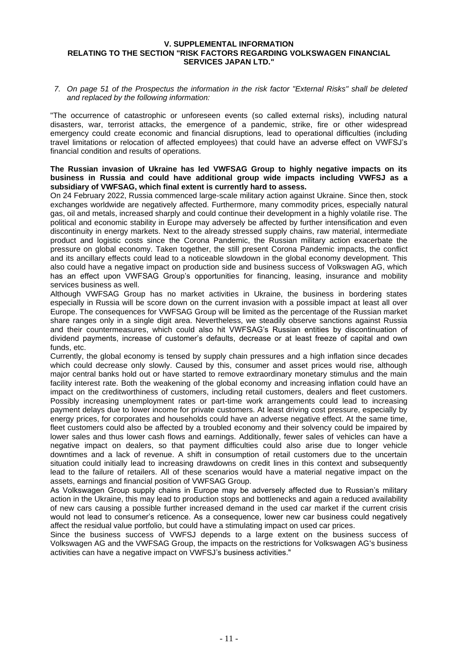#### <span id="page-10-0"></span>**V. SUPPLEMENTAL INFORMATION RELATING TO THE SECTION "RISK FACTORS REGARDING VOLKSWAGEN FINANCIAL SERVICES JAPAN LTD."**

*7. On page 51 of the Prospectus the information in the risk factor "External Risks" shall be deleted and replaced by the following information:* 

"The occurrence of catastrophic or unforeseen events (so called external risks), including natural disasters, war, terrorist attacks, the emergence of a pandemic, strike, fire or other widespread emergency could create economic and financial disruptions, lead to operational difficulties (including travel limitations or relocation of affected employees) that could have an adverse effect on VWFSJ's financial condition and results of operations.

# **The Russian invasion of Ukraine has led VWFSAG Group to highly negative impacts on its business in Russia and could have additional group wide impacts including VWFSJ as a subsidiary of VWFSAG, which final extent is currently hard to assess.**

On 24 February 2022, Russia commenced large-scale military action against Ukraine. Since then, stock exchanges worldwide are negatively affected. Furthermore, many commodity prices, especially natural gas, oil and metals, increased sharply and could continue their development in a highly volatile rise. The political and economic stability in Europe may adversely be affected by further intensification and even discontinuity in energy markets. Next to the already stressed supply chains, raw material, intermediate product and logistic costs since the Corona Pandemic, the Russian military action exacerbate the pressure on global economy. Taken together, the still present Corona Pandemic impacts, the conflict and its ancillary effects could lead to a noticeable slowdown in the global economy development. This also could have a negative impact on production side and business success of Volkswagen AG, which has an effect upon VWFSAG Group's opportunities for financing, leasing, insurance and mobility services business as well.

Although VWFSAG Group has no market activities in Ukraine, the business in bordering states especially in Russia will be score down on the current invasion with a possible impact at least all over Europe. The consequences for VWFSAG Group will be limited as the percentage of the Russian market share ranges only in a single digit area. Nevertheless, we steadily observe sanctions against Russia and their countermeasures, which could also hit VWFSAG's Russian entities by discontinuation of dividend payments, increase of customer's defaults, decrease or at least freeze of capital and own funds, etc.

Currently, the global economy is tensed by supply chain pressures and a high inflation since decades which could decrease only slowly. Caused by this, consumer and asset prices would rise, although major central banks hold out or have started to remove extraordinary monetary stimulus and the main facility interest rate. Both the weakening of the global economy and increasing inflation could have an impact on the creditworthiness of customers, including retail customers, dealers and fleet customers. Possibly increasing unemployment rates or part-time work arrangements could lead to increasing payment delays due to lower income for private customers. At least driving cost pressure, especially by energy prices, for corporates and households could have an adverse negative effect. At the same time, fleet customers could also be affected by a troubled economy and their solvency could be impaired by lower sales and thus lower cash flows and earnings. Additionally, fewer sales of vehicles can have a negative impact on dealers, so that payment difficulties could also arise due to longer vehicle downtimes and a lack of revenue. A shift in consumption of retail customers due to the uncertain situation could initially lead to increasing drawdowns on credit lines in this context and subsequently lead to the failure of retailers. All of these scenarios would have a material negative impact on the assets, earnings and financial position of VWFSAG Group.

As Volkswagen Group supply chains in Europe may be adversely affected due to Russian's military action in the Ukraine, this may lead to production stops and bottlenecks and again a reduced availability of new cars causing a possible further increased demand in the used car market if the current crisis would not lead to consumer's reticence. As a consequence, lower new car business could negatively affect the residual value portfolio, but could have a stimulating impact on used car prices.

Since the business success of VWFSJ depends to a large extent on the business success of Volkswagen AG and the VWFSAG Group, the impacts on the restrictions for Volkswagen AG's business activities can have a negative impact on VWFSJ's business activities."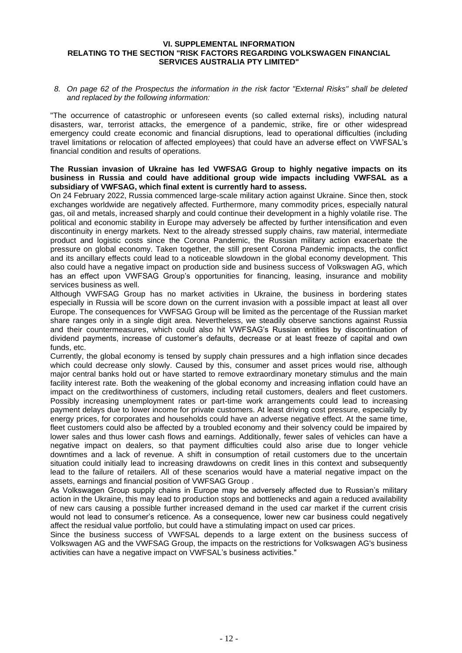#### <span id="page-11-0"></span>**VI. SUPPLEMENTAL INFORMATION RELATING TO THE SECTION "RISK FACTORS REGARDING VOLKSWAGEN FINANCIAL SERVICES AUSTRALIA PTY LIMITED"**

*8. On page 62 of the Prospectus the information in the risk factor "External Risks" shall be deleted and replaced by the following information:* 

"The occurrence of catastrophic or unforeseen events (so called external risks), including natural disasters, war, terrorist attacks, the emergence of a pandemic, strike, fire or other widespread emergency could create economic and financial disruptions, lead to operational difficulties (including travel limitations or relocation of affected employees) that could have an adverse effect on VWFSAL's financial condition and results of operations.

# **The Russian invasion of Ukraine has led VWFSAG Group to highly negative impacts on its business in Russia and could have additional group wide impacts including VWFSAL as a subsidiary of VWFSAG, which final extent is currently hard to assess.**

On 24 February 2022, Russia commenced large-scale military action against Ukraine. Since then, stock exchanges worldwide are negatively affected. Furthermore, many commodity prices, especially natural gas, oil and metals, increased sharply and could continue their development in a highly volatile rise. The political and economic stability in Europe may adversely be affected by further intensification and even discontinuity in energy markets. Next to the already stressed supply chains, raw material, intermediate product and logistic costs since the Corona Pandemic, the Russian military action exacerbate the pressure on global economy. Taken together, the still present Corona Pandemic impacts, the conflict and its ancillary effects could lead to a noticeable slowdown in the global economy development. This also could have a negative impact on production side and business success of Volkswagen AG, which has an effect upon VWFSAG Group's opportunities for financing, leasing, insurance and mobility services business as well.

Although VWFSAG Group has no market activities in Ukraine, the business in bordering states especially in Russia will be score down on the current invasion with a possible impact at least all over Europe. The consequences for VWFSAG Group will be limited as the percentage of the Russian market share ranges only in a single digit area. Nevertheless, we steadily observe sanctions against Russia and their countermeasures, which could also hit VWFSAG's Russian entities by discontinuation of dividend payments, increase of customer's defaults, decrease or at least freeze of capital and own funds, etc.

Currently, the global economy is tensed by supply chain pressures and a high inflation since decades which could decrease only slowly. Caused by this, consumer and asset prices would rise, although major central banks hold out or have started to remove extraordinary monetary stimulus and the main facility interest rate. Both the weakening of the global economy and increasing inflation could have an impact on the creditworthiness of customers, including retail customers, dealers and fleet customers. Possibly increasing unemployment rates or part-time work arrangements could lead to increasing payment delays due to lower income for private customers. At least driving cost pressure, especially by energy prices, for corporates and households could have an adverse negative effect. At the same time, fleet customers could also be affected by a troubled economy and their solvency could be impaired by lower sales and thus lower cash flows and earnings. Additionally, fewer sales of vehicles can have a negative impact on dealers, so that payment difficulties could also arise due to longer vehicle downtimes and a lack of revenue. A shift in consumption of retail customers due to the uncertain situation could initially lead to increasing drawdowns on credit lines in this context and subsequently lead to the failure of retailers. All of these scenarios would have a material negative impact on the assets, earnings and financial position of VWFSAG Group .

As Volkswagen Group supply chains in Europe may be adversely affected due to Russian's military action in the Ukraine, this may lead to production stops and bottlenecks and again a reduced availability of new cars causing a possible further increased demand in the used car market if the current crisis would not lead to consumer's reticence. As a consequence, lower new car business could negatively affect the residual value portfolio, but could have a stimulating impact on used car prices.

Since the business success of VWFSAL depends to a large extent on the business success of Volkswagen AG and the VWFSAG Group, the impacts on the restrictions for Volkswagen AG's business activities can have a negative impact on VWFSAL's business activities."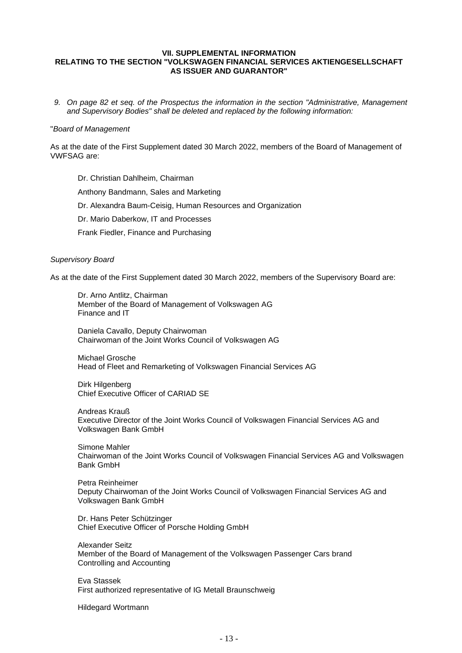# <span id="page-12-0"></span>**VII. SUPPLEMENTAL INFORMATION RELATING TO THE SECTION "VOLKSWAGEN FINANCIAL SERVICES AKTIENGESELLSCHAFT AS ISSUER AND GUARANTOR"**

*9. On page 82 et seq. of the Prospectus the information in the section "Administrative, Management and Supervisory Bodies" shall be deleted and replaced by the following information:* 

#### "*Board of Management*

As at the date of the First Supplement dated 30 March 2022, members of the Board of Management of VWFSAG are:

Dr. Christian Dahlheim, Chairman Anthony Bandmann, Sales and Marketing Dr. Alexandra Baum-Ceisig, Human Resources and Organization Dr. Mario Daberkow, IT and Processes Frank Fiedler, Finance and Purchasing

# *Supervisory Board*

As at the date of the First Supplement dated 30 March 2022, members of the Supervisory Board are:

Dr. Arno Antlitz, Chairman Member of the Board of Management of Volkswagen AG Finance and IT

Daniela Cavallo, Deputy Chairwoman Chairwoman of the Joint Works Council of Volkswagen AG

Michael Grosche Head of Fleet and Remarketing of Volkswagen Financial Services AG

Dirk Hilgenberg Chief Executive Officer of CARIAD SE

Andreas Krauß Executive Director of the Joint Works Council of Volkswagen Financial Services AG and Volkswagen Bank GmbH

Simone Mahler Chairwoman of the Joint Works Council of Volkswagen Financial Services AG and Volkswagen Bank GmbH

Petra Reinheimer Deputy Chairwoman of the Joint Works Council of Volkswagen Financial Services AG and Volkswagen Bank GmbH

Dr. Hans Peter Schützinger Chief Executive Officer of Porsche Holding GmbH

Alexander Seitz Member of the Board of Management of the Volkswagen Passenger Cars brand Controlling and Accounting

Eva Stassek First authorized representative of IG Metall Braunschweig

Hildegard Wortmann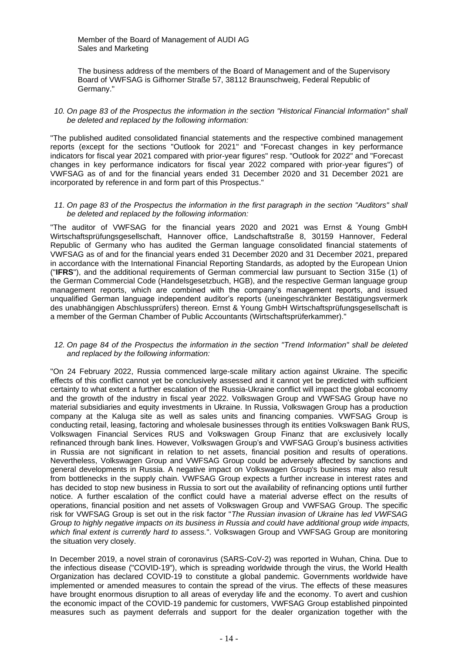Member of the Board of Management of AUDI AG Sales and Marketing

The business address of the members of the Board of Management and of the Supervisory Board of VWFSAG is Gifhorner Straße 57, 38112 Braunschweig, Federal Republic of Germany."

# *10. On page 83 of the Prospectus the information in the section "Historical Financial Information" shall be deleted and replaced by the following information:*

"The published audited consolidated financial statements and the respective combined management reports (except for the sections "Outlook for 2021" and "Forecast changes in key performance indicators for fiscal year 2021 compared with prior-year figures" resp. "Outlook for 2022" and "Forecast changes in key performance indicators for fiscal year 2022 compared with prior-year figures") of VWFSAG as of and for the financial years ended 31 December 2020 and 31 December 2021 are incorporated by reference in and form part of this Prospectus."

#### *11. On page 83 of the Prospectus the information in the first paragraph in the section "Auditors" shall be deleted and replaced by the following information:*

"The auditor of VWFSAG for the financial years 2020 and 2021 was Ernst & Young GmbH Wirtschaftsprüfungsgesellschaft, Hannover office, Landschaftstraße 8, 30159 Hannover, Federal Republic of Germany who has audited the German language consolidated financial statements of VWFSAG as of and for the financial years ended 31 December 2020 and 31 December 2021, prepared in accordance with the International Financial Reporting Standards, as adopted by the European Union ("**IFRS**"), and the additional requirements of German commercial law pursuant to Section 315e (1) of the German Commercial Code (Handelsgesetzbuch, HGB), and the respective German language group management reports, which are combined with the company's management reports, and issued unqualified German language independent auditor's reports (uneingeschränkter Bestätigungsvermerk des unabhängigen Abschlussprüfers) thereon. Ernst & Young GmbH Wirtschaftsprüfungsgesellschaft is a member of the German Chamber of Public Accountants (Wirtschaftsprüferkammer)."

#### *12. On page 84 of the Prospectus the information in the section "Trend Information" shall be deleted and replaced by the following information:*

"On 24 February 2022, Russia commenced large-scale military action against Ukraine. The specific effects of this conflict cannot yet be conclusively assessed and it cannot yet be predicted with sufficient certainty to what extent a further escalation of the Russia-Ukraine conflict will impact the global economy and the growth of the industry in fiscal year 2022. Volkswagen Group and VWFSAG Group have no material subsidiaries and equity investments in Ukraine. In Russia, Volkswagen Group has a production company at the Kaluga site as well as sales units and financing companies. VWFSAG Group is conducting retail, leasing, factoring and wholesale businesses through its entities Volkswagen Bank RUS, Volkswagen Financial Services RUS and Volkswagen Group Finanz that are exclusively locally refinanced through bank lines. However, Volkswagen Group's and VWFSAG Group's business activities in Russia are not significant in relation to net assets, financial position and results of operations. Nevertheless, Volkswagen Group and VWFSAG Group could be adversely affected by sanctions and general developments in Russia. A negative impact on Volkswagen Group's business may also result from bottlenecks in the supply chain. VWFSAG Group expects a further increase in interest rates and has decided to stop new business in Russia to sort out the availability of refinancing options until further notice. A further escalation of the conflict could have a material adverse effect on the results of operations, financial position and net assets of Volkswagen Group and VWFSAG Group. The specific risk for VWFSAG Group is set out in the risk factor "*The Russian invasion of Ukraine has led VWFSAG Group to highly negative impacts on its business in Russia and could have additional group wide impacts, which final extent is currently hard to assess.*". Volkswagen Group and VWFSAG Group are monitoring the situation very closely.

In December 2019, a novel strain of coronavirus (SARS-CoV-2) was reported in Wuhan, China. Due to the infectious disease ("COVID-19"), which is spreading worldwide through the virus, the World Health Organization has declared COVID-19 to constitute a global pandemic. Governments worldwide have implemented or amended measures to contain the spread of the virus. The effects of these measures have brought enormous disruption to all areas of everyday life and the economy. To avert and cushion the economic impact of the COVID-19 pandemic for customers, VWFSAG Group established pinpointed measures such as payment deferrals and support for the dealer organization together with the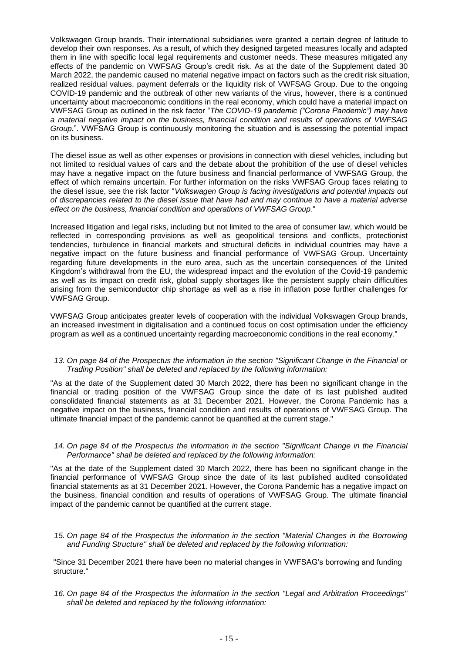Volkswagen Group brands. Their international subsidiaries were granted a certain degree of latitude to develop their own responses. As a result, of which they designed targeted measures locally and adapted them in line with specific local legal requirements and customer needs. These measures mitigated any effects of the pandemic on VWFSAG Group's credit risk. As at the date of the Supplement dated 30 March 2022, the pandemic caused no material negative impact on factors such as the credit risk situation, realized residual values, payment deferrals or the liquidity risk of VWFSAG Group. Due to the ongoing COVID-19 pandemic and the outbreak of other new variants of the virus, however, there is a continued uncertainty about macroeconomic conditions in the real economy, which could have a material impact on VWFSAG Group as outlined in the risk factor "*The COVID-19 pandemic ("Corona Pandemic") may have a material negative impact on the business, financial condition and results of operations of VWFSAG Group.*". VWFSAG Group is continuously monitoring the situation and is assessing the potential impact on its business.

The diesel issue as well as other expenses or provisions in connection with diesel vehicles, including but not limited to residual values of cars and the debate about the prohibition of the use of diesel vehicles may have a negative impact on the future business and financial performance of VWFSAG Group, the effect of which remains uncertain. For further information on the risks VWFSAG Group faces relating to the diesel issue, see the risk factor "*Volkswagen Group is facing investigations and potential impacts out of discrepancies related to the diesel issue that have had and may continue to have a material adverse effect on the business, financial condition and operations of VWFSAG Group.*"

Increased litigation and legal risks, including but not limited to the area of consumer law, which would be reflected in corresponding provisions as well as geopolitical tensions and conflicts, protectionist tendencies, turbulence in financial markets and structural deficits in individual countries may have a negative impact on the future business and financial performance of VWFSAG Group. Uncertainty regarding future developments in the euro area, such as the uncertain consequences of the United Kingdom's withdrawal from the EU, the widespread impact and the evolution of the Covid-19 pandemic as well as its impact on credit risk, global supply shortages like the persistent supply chain difficulties arising from the semiconductor chip shortage as well as a rise in inflation pose further challenges for VWFSAG Group.

VWFSAG Group anticipates greater levels of cooperation with the individual Volkswagen Group brands, an increased investment in digitalisation and a continued focus on cost optimisation under the efficiency program as well as a continued uncertainty regarding macroeconomic conditions in the real economy."

# *13. On page 84 of the Prospectus the information in the section "Significant Change in the Financial or Trading Position" shall be deleted and replaced by the following information:*

"As at the date of the Supplement dated 30 March 2022, there has been no significant change in the financial or trading position of the VWFSAG Group since the date of its last published audited consolidated financial statements as at 31 December 2021. However, the Corona Pandemic has a negative impact on the business, financial condition and results of operations of VWFSAG Group. The ultimate financial impact of the pandemic cannot be quantified at the current stage."

# *14. On page 84 of the Prospectus the information in the section "Significant Change in the Financial Performance" shall be deleted and replaced by the following information:*

"As at the date of the Supplement dated 30 March 2022, there has been no significant change in the financial performance of VWFSAG Group since the date of its last published audited consolidated financial statements as at 31 December 2021. However, the Corona Pandemic has a negative impact on the business, financial condition and results of operations of VWFSAG Group. The ultimate financial impact of the pandemic cannot be quantified at the current stage.

*15. On page 84 of the Prospectus the information in the section "Material Changes in the Borrowing and Funding Structure" shall be deleted and replaced by the following information:* 

"Since 31 December 2021 there have been no material changes in VWFSAG's borrowing and funding structure."

*16. On page 84 of the Prospectus the information in the section "Legal and Arbitration Proceedings" shall be deleted and replaced by the following information:*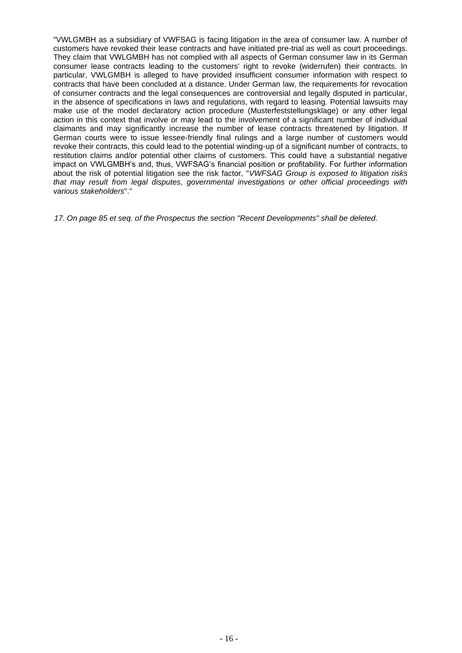"VWLGMBH as a subsidiary of VWFSAG is facing litigation in the area of consumer law. A number of customers have revoked their lease contracts and have initiated pre-trial as well as court proceedings. They claim that VWLGMBH has not complied with all aspects of German consumer law in its German consumer lease contracts leading to the customers' right to revoke (widerrufen) their contracts. In particular, VWLGMBH is alleged to have provided insufficient consumer information with respect to contracts that have been concluded at a distance. Under German law, the requirements for revocation of consumer contracts and the legal consequences are controversial and legally disputed in particular, in the absence of specifications in laws and regulations, with regard to leasing. Potential lawsuits may make use of the model declaratory action procedure (Musterfeststellungsklage) or any other legal action in this context that involve or may lead to the involvement of a significant number of individual claimants and may significantly increase the number of lease contracts threatened by litigation. If German courts were to issue lessee-friendly final rulings and a large number of customers would revoke their contracts, this could lead to the potential winding-up of a significant number of contracts, to restitution claims and/or potential other claims of customers. This could have a substantial negative impact on VWLGMBH's and, thus, VWFSAG's financial position or profitability. For further information about the risk of potential litigation see the risk factor, "*VWFSAG Group is exposed to litigation risks that may result from legal disputes, governmental investigations or other official proceedings with various stakeholders*"."

*17. On page 85 et seq. of the Prospectus the section "Recent Developments" shall be deleted.*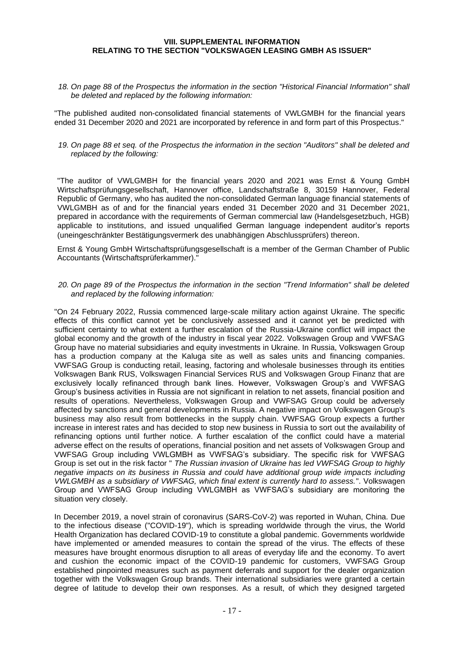# <span id="page-16-0"></span>**VIII. SUPPLEMENTAL INFORMATION RELATING TO THE SECTION "VOLKSWAGEN LEASING GMBH AS ISSUER"**

*18. On page 88 of the Prospectus the information in the section "Historical Financial Information" shall be deleted and replaced by the following information:*

"The published audited non-consolidated financial statements of VWLGMBH for the financial years ended 31 December 2020 and 2021 are incorporated by reference in and form part of this Prospectus."

*19. On page 88 et seq. of the Prospectus the information in the section "Auditors" shall be deleted and replaced by the following:*

"The auditor of VWLGMBH for the financial years 2020 and 2021 was Ernst & Young GmbH Wirtschaftsprüfungsgesellschaft, Hannover office, Landschaftstraße 8, 30159 Hannover, Federal Republic of Germany, who has audited the non-consolidated German language financial statements of VWLGMBH as of and for the financial years ended 31 December 2020 and 31 December 2021, prepared in accordance with the requirements of German commercial law (Handelsgesetzbuch, HGB) applicable to institutions, and issued unqualified German language independent auditor's reports (uneingeschränkter Bestätigungsvermerk des unabhängigen Abschlussprüfers) thereon.

Ernst & Young GmbH Wirtschaftsprüfungsgesellschaft is a member of the German Chamber of Public Accountants (Wirtschaftsprüferkammer)."

*20. On page 89 of the Prospectus the information in the section "Trend Information" shall be deleted and replaced by the following information:*

"On 24 February 2022, Russia commenced large-scale military action against Ukraine. The specific effects of this conflict cannot yet be conclusively assessed and it cannot yet be predicted with sufficient certainty to what extent a further escalation of the Russia-Ukraine conflict will impact the global economy and the growth of the industry in fiscal year 2022. Volkswagen Group and VWFSAG Group have no material subsidiaries and equity investments in Ukraine. In Russia, Volkswagen Group has a production company at the Kaluga site as well as sales units and financing companies. VWFSAG Group is conducting retail, leasing, factoring and wholesale businesses through its entities Volkswagen Bank RUS, Volkswagen Financial Services RUS and Volkswagen Group Finanz that are exclusively locally refinanced through bank lines. However, Volkswagen Group's and VWFSAG Group's business activities in Russia are not significant in relation to net assets, financial position and results of operations. Nevertheless, Volkswagen Group and VWFSAG Group could be adversely affected by sanctions and general developments in Russia. A negative impact on Volkswagen Group's business may also result from bottlenecks in the supply chain. VWFSAG Group expects a further increase in interest rates and has decided to stop new business in Russia to sort out the availability of refinancing options until further notice. A further escalation of the conflict could have a material adverse effect on the results of operations, financial position and net assets of Volkswagen Group and VWFSAG Group including VWLGMBH as VWFSAG's subsidiary. The specific risk for VWFSAG Group is set out in the risk factor " *The Russian invasion of Ukraine has led VWFSAG Group to highly negative impacts on its business in Russia and could have additional group wide impacts including VWLGMBH as a subsidiary of VWFSAG, which final extent is currently hard to assess.*". Volkswagen Group and VWFSAG Group including VWLGMBH as VWFSAG's subsidiary are monitoring the situation very closely.

In December 2019, a novel strain of coronavirus (SARS-CoV-2) was reported in Wuhan, China. Due to the infectious disease ("COVID-19"), which is spreading worldwide through the virus, the World Health Organization has declared COVID-19 to constitute a global pandemic. Governments worldwide have implemented or amended measures to contain the spread of the virus. The effects of these measures have brought enormous disruption to all areas of everyday life and the economy. To avert and cushion the economic impact of the COVID-19 pandemic for customers, VWFSAG Group established pinpointed measures such as payment deferrals and support for the dealer organization together with the Volkswagen Group brands. Their international subsidiaries were granted a certain degree of latitude to develop their own responses. As a result, of which they designed targeted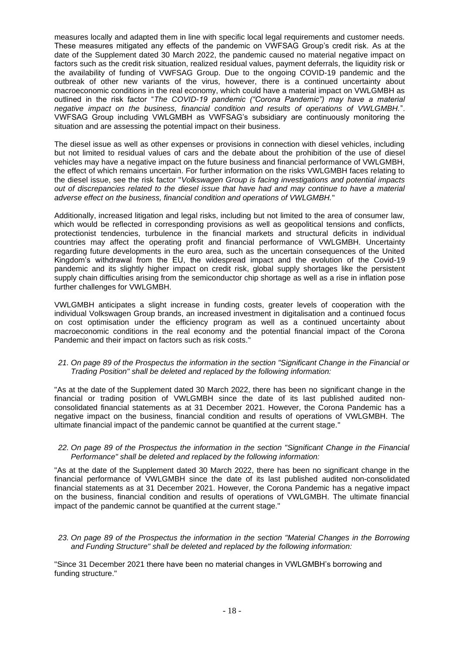measures locally and adapted them in line with specific local legal requirements and customer needs. These measures mitigated any effects of the pandemic on VWFSAG Group's credit risk. As at the date of the Supplement dated 30 March 2022, the pandemic caused no material negative impact on factors such as the credit risk situation, realized residual values, payment deferrals, the liquidity risk or the availability of funding of VWFSAG Group. Due to the ongoing COVID-19 pandemic and the outbreak of other new variants of the virus, however, there is a continued uncertainty about macroeconomic conditions in the real economy, which could have a material impact on VWLGMBH as outlined in the risk factor "*The COVID-19 pandemic ("Corona Pandemic") may have a material negative impact on the business, financial condition and results of operations of VWLGMBH.*". VWFSAG Group including VWLGMBH as VWFSAG's subsidiary are continuously monitoring the situation and are assessing the potential impact on their business.

The diesel issue as well as other expenses or provisions in connection with diesel vehicles, including but not limited to residual values of cars and the debate about the prohibition of the use of diesel vehicles may have a negative impact on the future business and financial performance of VWLGMBH, the effect of which remains uncertain. For further information on the risks VWLGMBH faces relating to the diesel issue, see the risk factor "*Volkswagen Group is facing investigations and potential impacts out of discrepancies related to the diesel issue that have had and may continue to have a material adverse effect on the business, financial condition and operations of VWLGMBH.*"

Additionally, increased litigation and legal risks, including but not limited to the area of consumer law, which would be reflected in corresponding provisions as well as geopolitical tensions and conflicts, protectionist tendencies, turbulence in the financial markets and structural deficits in individual countries may affect the operating profit and financial performance of VWLGMBH. Uncertainty regarding future developments in the euro area, such as the uncertain consequences of the United Kingdom's withdrawal from the EU, the widespread impact and the evolution of the Covid-19 pandemic and its slightly higher impact on credit risk, global supply shortages like the persistent supply chain difficulties arising from the semiconductor chip shortage as well as a rise in inflation pose further challenges for VWLGMBH.

VWLGMBH anticipates a slight increase in funding costs, greater levels of cooperation with the individual Volkswagen Group brands, an increased investment in digitalisation and a continued focus on cost optimisation under the efficiency program as well as a continued uncertainty about macroeconomic conditions in the real economy and the potential financial impact of the Corona Pandemic and their impact on factors such as risk costs."

# *21. On page 89 of the Prospectus the information in the section "Significant Change in the Financial or Trading Position" shall be deleted and replaced by the following information:*

"As at the date of the Supplement dated 30 March 2022, there has been no significant change in the financial or trading position of VWLGMBH since the date of its last published audited nonconsolidated financial statements as at 31 December 2021. However, the Corona Pandemic has a negative impact on the business, financial condition and results of operations of VWLGMBH. The ultimate financial impact of the pandemic cannot be quantified at the current stage."

#### *22. On page 89 of the Prospectus the information in the section "Significant Change in the Financial Performance" shall be deleted and replaced by the following information:*

"As at the date of the Supplement dated 30 March 2022, there has been no significant change in the financial performance of VWLGMBH since the date of its last published audited non-consolidated financial statements as at 31 December 2021. However, the Corona Pandemic has a negative impact on the business, financial condition and results of operations of VWLGMBH. The ultimate financial impact of the pandemic cannot be quantified at the current stage."

*23. On page 89 of the Prospectus the information in the section "Material Changes in the Borrowing and Funding Structure" shall be deleted and replaced by the following information:* 

"Since 31 December 2021 there have been no material changes in VWLGMBH's borrowing and funding structure."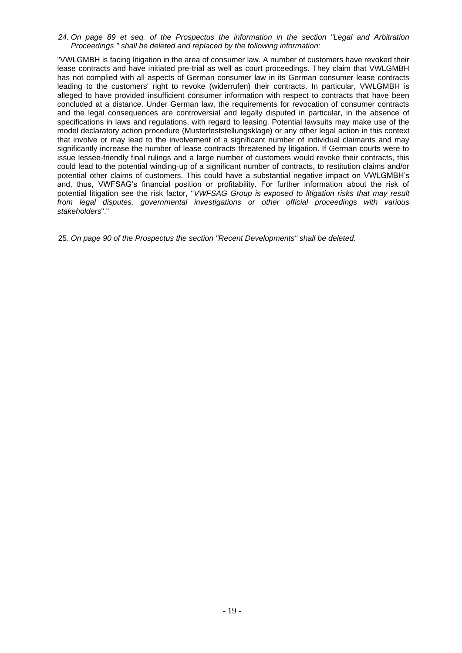*24. On page 89 et seq. of the Prospectus the information in the section "Legal and Arbitration Proceedings " shall be deleted and replaced by the following information:* 

"VWLGMBH is facing litigation in the area of consumer law. A number of customers have revoked their lease contracts and have initiated pre-trial as well as court proceedings. They claim that VWLGMBH has not complied with all aspects of German consumer law in its German consumer lease contracts leading to the customers' right to revoke (widerrufen) their contracts. In particular, VWLGMBH is alleged to have provided insufficient consumer information with respect to contracts that have been concluded at a distance. Under German law, the requirements for revocation of consumer contracts and the legal consequences are controversial and legally disputed in particular, in the absence of specifications in laws and regulations, with regard to leasing. Potential lawsuits may make use of the model declaratory action procedure (Musterfeststellungsklage) or any other legal action in this context that involve or may lead to the involvement of a significant number of individual claimants and may significantly increase the number of lease contracts threatened by litigation. If German courts were to issue lessee-friendly final rulings and a large number of customers would revoke their contracts, this could lead to the potential winding-up of a significant number of contracts, to restitution claims and/or potential other claims of customers. This could have a substantial negative impact on VWLGMBH's and, thus, VWFSAG's financial position or profitability. For further information about the risk of potential litigation see the risk factor, "*VWFSAG Group is exposed to litigation risks that may result from legal disputes, governmental investigations or other official proceedings with various stakeholders*"."

25. *On page 90 of the Prospectus the section "Recent Developments" shall be deleted.*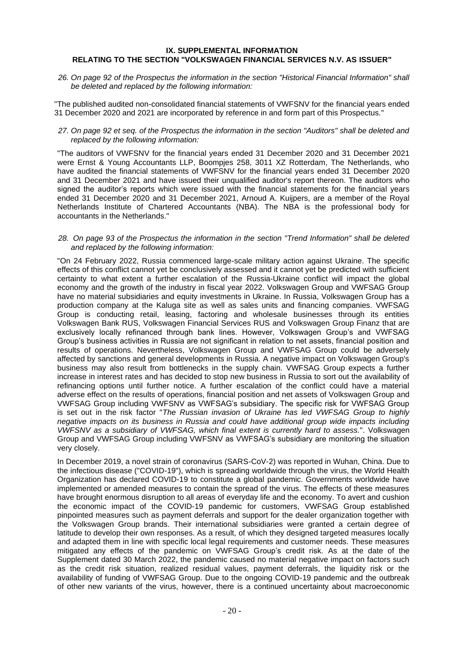#### <span id="page-19-0"></span>**IX. SUPPLEMENTAL INFORMATION RELATING TO THE SECTION "VOLKSWAGEN FINANCIAL SERVICES N.V. AS ISSUER"**

*26. On page 92 of the Prospectus the information in the section "Historical Financial Information" shall be deleted and replaced by the following information:*

"The published audited non-consolidated financial statements of VWFSNV for the financial years ended 31 December 2020 and 2021 are incorporated by reference in and form part of this Prospectus."

# *27. On page 92 et seq. of the Prospectus the information in the section "Auditors" shall be deleted and replaced by the following information:*

"The auditors of VWFSNV for the financial years ended 31 December 2020 and 31 December 2021 were Ernst & Young Accountants LLP, Boompjes 258, 3011 XZ Rotterdam, The Netherlands, who have audited the financial statements of VWFSNV for the financial years ended 31 December 2020 and 31 December 2021 and have issued their unqualified auditor's report thereon. The auditors who signed the auditor's reports which were issued with the financial statements for the financial years ended 31 December 2020 and 31 December 2021, Arnoud A. Kuijpers, are a member of the Royal Netherlands Institute of Chartered Accountants (NBA). The NBA is the professional body for accountants in the Netherlands."

#### *28. On page 93 of the Prospectus the information in the section "Trend Information" shall be deleted and replaced by the following information:*

"On 24 February 2022, Russia commenced large-scale military action against Ukraine. The specific effects of this conflict cannot yet be conclusively assessed and it cannot yet be predicted with sufficient certainty to what extent a further escalation of the Russia-Ukraine conflict will impact the global economy and the growth of the industry in fiscal year 2022. Volkswagen Group and VWFSAG Group have no material subsidiaries and equity investments in Ukraine. In Russia, Volkswagen Group has a production company at the Kaluga site as well as sales units and financing companies. VWFSAG Group is conducting retail, leasing, factoring and wholesale businesses through its entities Volkswagen Bank RUS, Volkswagen Financial Services RUS and Volkswagen Group Finanz that are exclusively locally refinanced through bank lines. However, Volkswagen Group's and VWFSAG Group's business activities in Russia are not significant in relation to net assets, financial position and results of operations. Nevertheless, Volkswagen Group and VWFSAG Group could be adversely affected by sanctions and general developments in Russia. A negative impact on Volkswagen Group's business may also result from bottlenecks in the supply chain. VWFSAG Group expects a further increase in interest rates and has decided to stop new business in Russia to sort out the availability of refinancing options until further notice. A further escalation of the conflict could have a material adverse effect on the results of operations, financial position and net assets of Volkswagen Group and VWFSAG Group including VWFSNV as VWFSAG's subsidiary. The specific risk for VWFSAG Group is set out in the risk factor "*The Russian invasion of Ukraine has led VWFSAG Group to highly negative impacts on its business in Russia and could have additional group wide impacts including VWFSNV as a subsidiary of VWFSAG, which final extent is currently hard to assess.*". Volkswagen Group and VWFSAG Group including VWFSNV as VWFSAG's subsidiary are monitoring the situation very closely.

In December 2019, a novel strain of coronavirus (SARS-CoV-2) was reported in Wuhan, China. Due to the infectious disease ("COVID-19"), which is spreading worldwide through the virus, the World Health Organization has declared COVID-19 to constitute a global pandemic. Governments worldwide have implemented or amended measures to contain the spread of the virus. The effects of these measures have brought enormous disruption to all areas of everyday life and the economy. To avert and cushion the economic impact of the COVID-19 pandemic for customers, VWFSAG Group established pinpointed measures such as payment deferrals and support for the dealer organization together with the Volkswagen Group brands. Their international subsidiaries were granted a certain degree of latitude to develop their own responses. As a result, of which they designed targeted measures locally and adapted them in line with specific local legal requirements and customer needs. These measures mitigated any effects of the pandemic on VWFSAG Group's credit risk. As at the date of the Supplement dated 30 March 2022, the pandemic caused no material negative impact on factors such as the credit risk situation, realized residual values, payment deferrals, the liquidity risk or the availability of funding of VWFSAG Group. Due to the ongoing COVID-19 pandemic and the outbreak of other new variants of the virus, however, there is a continued uncertainty about macroeconomic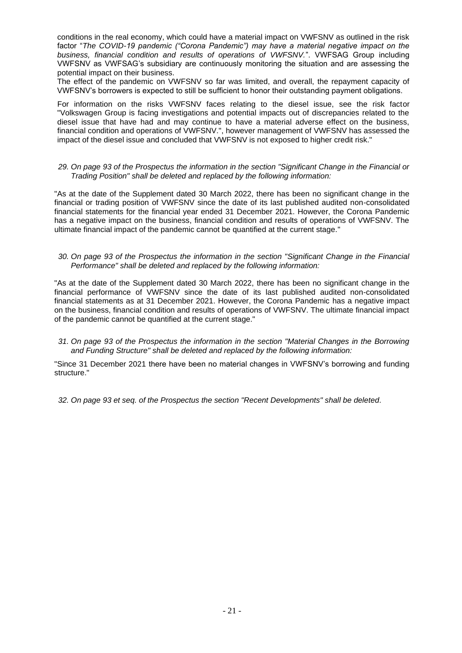conditions in the real economy, which could have a material impact on VWFSNV as outlined in the risk factor "*The COVID-19 pandemic ("Corona Pandemic") may have a material negative impact on the business, financial condition and results of operations of VWFSNV.*". VWFSAG Group including VWFSNV as VWFSAG's subsidiary are continuously monitoring the situation and are assessing the potential impact on their business.

The effect of the pandemic on VWFSNV so far was limited, and overall, the repayment capacity of VWFSNV's borrowers is expected to still be sufficient to honor their outstanding payment obligations.

For information on the risks VWFSNV faces relating to the diesel issue, see the risk factor "Volkswagen Group is facing investigations and potential impacts out of discrepancies related to the diesel issue that have had and may continue to have a material adverse effect on the business, financial condition and operations of VWFSNV.", however management of VWFSNV has assessed the impact of the diesel issue and concluded that VWFSNV is not exposed to higher credit risk."

# *29. On page 93 of the Prospectus the information in the section "Significant Change in the Financial or Trading Position" shall be deleted and replaced by the following information:*

"As at the date of the Supplement dated 30 March 2022, there has been no significant change in the financial or trading position of VWFSNV since the date of its last published audited non-consolidated financial statements for the financial year ended 31 December 2021. However, the Corona Pandemic has a negative impact on the business, financial condition and results of operations of VWFSNV. The ultimate financial impact of the pandemic cannot be quantified at the current stage."

#### *30. On page 93 of the Prospectus the information in the section "Significant Change in the Financial Performance" shall be deleted and replaced by the following information:*

"As at the date of the Supplement dated 30 March 2022, there has been no significant change in the financial performance of VWFSNV since the date of its last published audited non-consolidated financial statements as at 31 December 2021. However, the Corona Pandemic has a negative impact on the business, financial condition and results of operations of VWFSNV. The ultimate financial impact of the pandemic cannot be quantified at the current stage."

# *31. On page 93 of the Prospectus the information in the section "Material Changes in the Borrowing and Funding Structure" shall be deleted and replaced by the following information:*

"Since 31 December 2021 there have been no material changes in VWFSNV's borrowing and funding structure."

*32. On page 93 et seq. of the Prospectus the section "Recent Developments" shall be deleted.*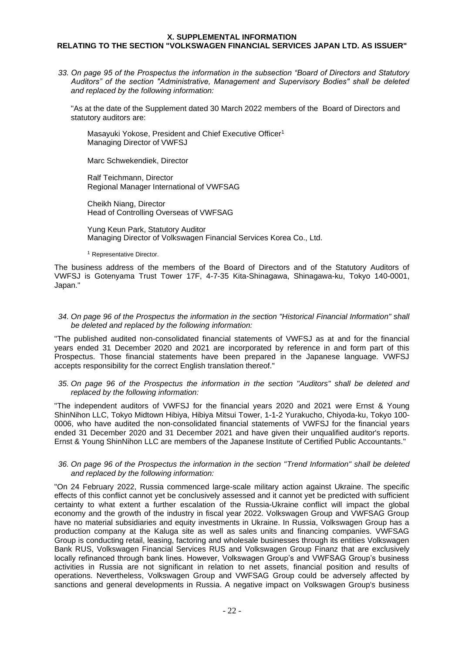# <span id="page-21-0"></span>**X. SUPPLEMENTAL INFORMATION RELATING TO THE SECTION "VOLKSWAGEN FINANCIAL SERVICES JAPAN LTD. AS ISSUER"**

*33. On page 95 of the Prospectus the information in the subsection "Board of Directors and Statutory Auditors" of the section "Administrative, Management and Supervisory Bodies" shall be deleted and replaced by the following information:* 

"As at the date of the Supplement dated 30 March 2022 members of the Board of Directors and statutory auditors are:

Masayuki Yokose, President and Chief Executive Officer<sup>1</sup> Managing Director of VWFSJ

Marc Schwekendiek, Director

Ralf Teichmann, Director Regional Manager International of VWFSAG

Cheikh Niang, Director Head of Controlling Overseas of VWFSAG

Yung Keun Park, Statutory Auditor Managing Director of Volkswagen Financial Services Korea Co., Ltd.

<sup>1</sup> Representative Director.

The business address of the members of the Board of Directors and of the Statutory Auditors of VWFSJ is Gotenyama Trust Tower 17F, 4-7-35 Kita-Shinagawa, Shinagawa-ku, Tokyo 140-0001, Japan."

#### *34. On page 96 of the Prospectus the information in the section "Historical Financial Information" shall be deleted and replaced by the following information:*

"The published audited non-consolidated financial statements of VWFSJ as at and for the financial years ended 31 December 2020 and 2021 are incorporated by reference in and form part of this Prospectus. Those financial statements have been prepared in the Japanese language. VWFSJ accepts responsibility for the correct English translation thereof."

*35. On page 96 of the Prospectus the information in the section "Auditors" shall be deleted and replaced by the following information:*

"The independent auditors of VWFSJ for the financial years 2020 and 2021 were Ernst & Young ShinNihon LLC, Tokyo Midtown Hibiya, Hibiya Mitsui Tower, 1-1-2 Yurakucho, Chiyoda-ku, Tokyo 100- 0006, who have audited the non-consolidated financial statements of VWFSJ for the financial years ended 31 December 2020 and 31 December 2021 and have given their unqualified auditor's reports. Ernst & Young ShinNihon LLC are members of the Japanese Institute of Certified Public Accountants."

# *36. On page 96 of the Prospectus the information in the section "Trend Information" shall be deleted and replaced by the following information:*

"On 24 February 2022, Russia commenced large-scale military action against Ukraine. The specific effects of this conflict cannot yet be conclusively assessed and it cannot yet be predicted with sufficient certainty to what extent a further escalation of the Russia-Ukraine conflict will impact the global economy and the growth of the industry in fiscal year 2022. Volkswagen Group and VWFSAG Group have no material subsidiaries and equity investments in Ukraine. In Russia, Volkswagen Group has a production company at the Kaluga site as well as sales units and financing companies. VWFSAG Group is conducting retail, leasing, factoring and wholesale businesses through its entities Volkswagen Bank RUS, Volkswagen Financial Services RUS and Volkswagen Group Finanz that are exclusively locally refinanced through bank lines. However, Volkswagen Group's and VWFSAG Group's business activities in Russia are not significant in relation to net assets, financial position and results of operations. Nevertheless, Volkswagen Group and VWFSAG Group could be adversely affected by sanctions and general developments in Russia. A negative impact on Volkswagen Group's business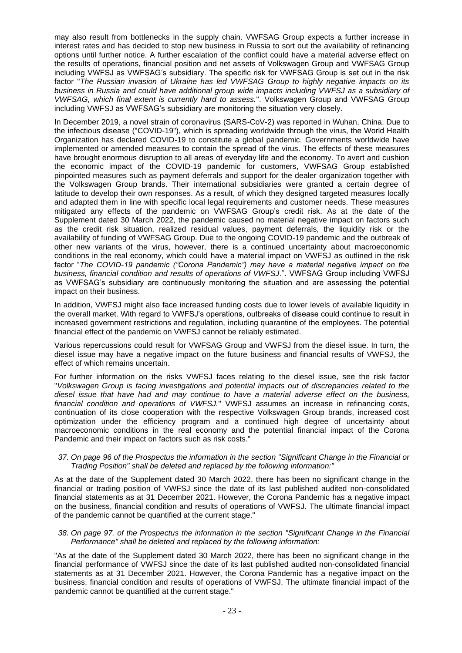may also result from bottlenecks in the supply chain. VWFSAG Group expects a further increase in interest rates and has decided to stop new business in Russia to sort out the availability of refinancing options until further notice. A further escalation of the conflict could have a material adverse effect on the results of operations, financial position and net assets of Volkswagen Group and VWFSAG Group including VWFSJ as VWFSAG's subsidiary. The specific risk for VWFSAG Group is set out in the risk factor "*The Russian invasion of Ukraine has led VWFSAG Group to highly negative impacts on its business in Russia and could have additional group wide impacts including VWFSJ as a subsidiary of VWFSAG, which final extent is currently hard to assess.*". Volkswagen Group and VWFSAG Group including VWFSJ as VWFSAG's subsidiary are monitoring the situation very closely.

In December 2019, a novel strain of coronavirus (SARS-CoV-2) was reported in Wuhan, China. Due to the infectious disease ("COVID-19"), which is spreading worldwide through the virus, the World Health Organization has declared COVID-19 to constitute a global pandemic. Governments worldwide have implemented or amended measures to contain the spread of the virus. The effects of these measures have brought enormous disruption to all areas of everyday life and the economy. To avert and cushion the economic impact of the COVID-19 pandemic for customers, VWFSAG Group established pinpointed measures such as payment deferrals and support for the dealer organization together with the Volkswagen Group brands. Their international subsidiaries were granted a certain degree of latitude to develop their own responses. As a result, of which they designed targeted measures locally and adapted them in line with specific local legal requirements and customer needs. These measures mitigated any effects of the pandemic on VWFSAG Group's credit risk. As at the date of the Supplement dated 30 March 2022, the pandemic caused no material negative impact on factors such as the credit risk situation, realized residual values, payment deferrals, the liquidity risk or the availability of funding of VWFSAG Group. Due to the ongoing COVID-19 pandemic and the outbreak of other new variants of the virus, however, there is a continued uncertainty about macroeconomic conditions in the real economy, which could have a material impact on VWFSJ as outlined in the risk factor "*The COVID-19 pandemic ("Corona Pandemic") may have a material negative impact on the business, financial condition and results of operations of VWFSJ*.". VWFSAG Group including VWFSJ as VWFSAG's subsidiary are continuously monitoring the situation and are assessing the potential impact on their business.

In addition, VWFSJ might also face increased funding costs due to lower levels of available liquidity in the overall market. With regard to VWFSJ's operations, outbreaks of disease could continue to result in increased government restrictions and regulation, including quarantine of the employees. The potential financial effect of the pandemic on VWFSJ cannot be reliably estimated.

Various repercussions could result for VWFSAG Group and VWFSJ from the diesel issue. In turn, the diesel issue may have a negative impact on the future business and financial results of VWFSJ, the effect of which remains uncertain.

For further information on the risks VWFSJ faces relating to the diesel issue, see the risk factor "*Volkswagen Group is facing investigations and potential impacts out of discrepancies related to the diesel issue that have had and may continue to have a material adverse effect on the business, financial condition and operations of VWFSJ.*" VWFSJ assumes an increase in refinancing costs, continuation of its close cooperation with the respective Volkswagen Group brands, increased cost optimization under the efficiency program and a continued high degree of uncertainty about macroeconomic conditions in the real economy and the potential financial impact of the Corona Pandemic and their impact on factors such as risk costs."

# *37. On page 96 of the Prospectus the information in the section "Significant Change in the Financial or Trading Position" shall be deleted and replaced by the following information:"*

As at the date of the Supplement dated 30 March 2022, there has been no significant change in the financial or trading position of VWFSJ since the date of its last published audited non-consolidated financial statements as at 31 December 2021. However, the Corona Pandemic has a negative impact on the business, financial condition and results of operations of VWFSJ. The ultimate financial impact of the pandemic cannot be quantified at the current stage."

# *38. On page 97. of the Prospectus the information in the section "Significant Change in the Financial Performance" shall be deleted and replaced by the following information:*

"As at the date of the Supplement dated 30 March 2022, there has been no significant change in the financial performance of VWFSJ since the date of its last published audited non-consolidated financial statements as at 31 December 2021. However, the Corona Pandemic has a negative impact on the business, financial condition and results of operations of VWFSJ. The ultimate financial impact of the pandemic cannot be quantified at the current stage."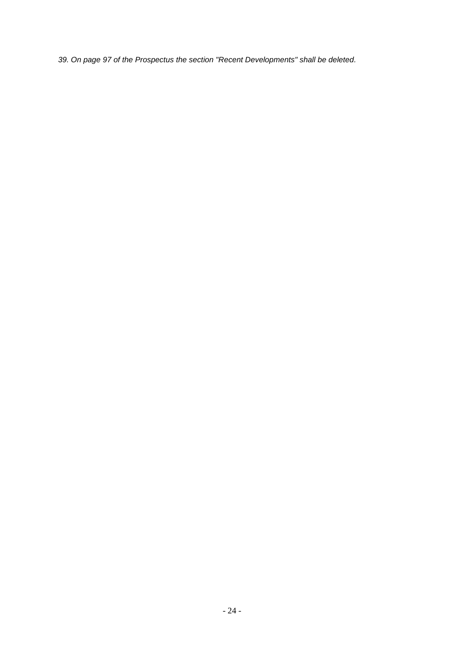*39. On page 97 of the Prospectus the section "Recent Developments" shall be deleted.*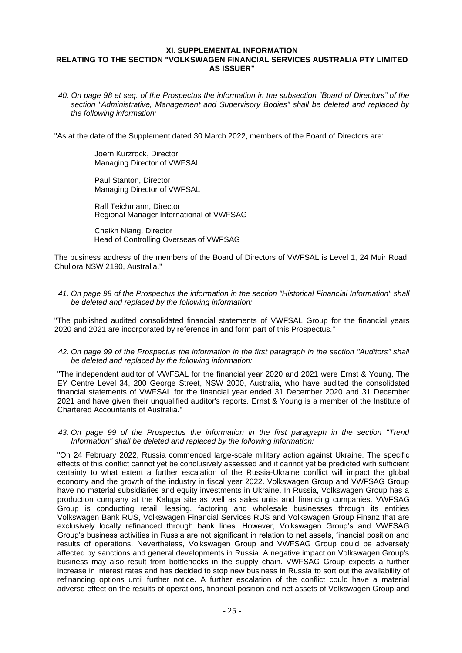# <span id="page-24-0"></span>**XI. SUPPLEMENTAL INFORMATION RELATING TO THE SECTION "VOLKSWAGEN FINANCIAL SERVICES AUSTRALIA PTY LIMITED AS ISSUER"**

*40. On page 98 et seq. of the Prospectus the information in the subsection "Board of Directors" of the section "Administrative, Management and Supervisory Bodies" shall be deleted and replaced by the following information:* 

"As at the date of the Supplement dated 30 March 2022, members of the Board of Directors are:

Joern Kurzrock, Director Managing Director of VWFSAL

Paul Stanton, Director Managing Director of VWFSAL

Ralf Teichmann, Director Regional Manager International of VWFSAG

Cheikh Niang, Director Head of Controlling Overseas of VWFSAG

The business address of the members of the Board of Directors of VWFSAL is Level 1, 24 Muir Road, Chullora NSW 2190, Australia."

*41. On page 99 of the Prospectus the information in the section "Historical Financial Information" shall be deleted and replaced by the following information:*

"The published audited consolidated financial statements of VWFSAL Group for the financial years 2020 and 2021 are incorporated by reference in and form part of this Prospectus."

*42. On page 99 of the Prospectus the information in the first paragraph in the section "Auditors" shall be deleted and replaced by the following information:*

"The independent auditor of VWFSAL for the financial year 2020 and 2021 were Ernst & Young, The EY Centre Level 34, 200 George Street, NSW 2000, Australia, who have audited the consolidated financial statements of VWFSAL for the financial year ended 31 December 2020 and 31 December 2021 and have given their unqualified auditor's reports. Ernst & Young is a member of the Institute of Chartered Accountants of Australia."

*43. On page 99 of the Prospectus the information in the first paragraph in the section "Trend Information" shall be deleted and replaced by the following information:*

"On 24 February 2022, Russia commenced large-scale military action against Ukraine. The specific effects of this conflict cannot yet be conclusively assessed and it cannot yet be predicted with sufficient certainty to what extent a further escalation of the Russia-Ukraine conflict will impact the global economy and the growth of the industry in fiscal year 2022. Volkswagen Group and VWFSAG Group have no material subsidiaries and equity investments in Ukraine. In Russia, Volkswagen Group has a production company at the Kaluga site as well as sales units and financing companies. VWFSAG Group is conducting retail, leasing, factoring and wholesale businesses through its entities Volkswagen Bank RUS, Volkswagen Financial Services RUS and Volkswagen Group Finanz that are exclusively locally refinanced through bank lines. However, Volkswagen Group's and VWFSAG Group's business activities in Russia are not significant in relation to net assets, financial position and results of operations. Nevertheless, Volkswagen Group and VWFSAG Group could be adversely affected by sanctions and general developments in Russia. A negative impact on Volkswagen Group's business may also result from bottlenecks in the supply chain. VWFSAG Group expects a further increase in interest rates and has decided to stop new business in Russia to sort out the availability of refinancing options until further notice. A further escalation of the conflict could have a material adverse effect on the results of operations, financial position and net assets of Volkswagen Group and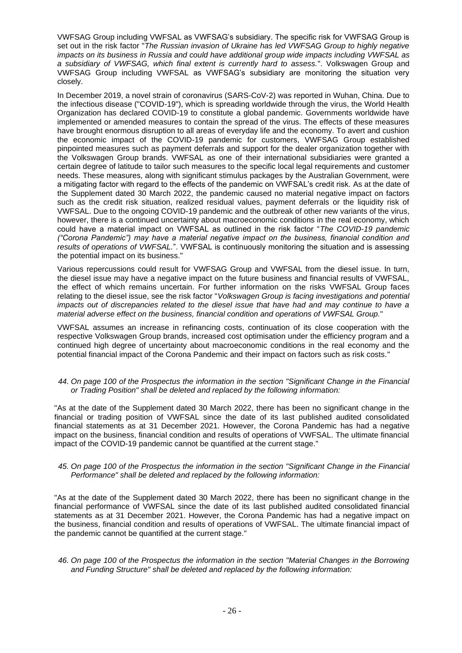VWFSAG Group including VWFSAL as VWFSAG's subsidiary. The specific risk for VWFSAG Group is set out in the risk factor "*The Russian invasion of Ukraine has led VWFSAG Group to highly negative impacts on its business in Russia and could have additional group wide impacts including VWFSAL as a subsidiary of VWFSAG, which final extent is currently hard to assess.*". Volkswagen Group and VWFSAG Group including VWFSAL as VWFSAG's subsidiary are monitoring the situation very closely.

In December 2019, a novel strain of coronavirus (SARS-CoV-2) was reported in Wuhan, China. Due to the infectious disease ("COVID-19"), which is spreading worldwide through the virus, the World Health Organization has declared COVID-19 to constitute a global pandemic. Governments worldwide have implemented or amended measures to contain the spread of the virus. The effects of these measures have brought enormous disruption to all areas of everyday life and the economy. To avert and cushion the economic impact of the COVID-19 pandemic for customers, VWFSAG Group established pinpointed measures such as payment deferrals and support for the dealer organization together with the Volkswagen Group brands. VWFSAL as one of their international subsidiaries were granted a certain degree of latitude to tailor such measures to the specific local legal requirements and customer needs. These measures, along with significant stimulus packages by the Australian Government, were a mitigating factor with regard to the effects of the pandemic on VWFSAL's credit risk. As at the date of the Supplement dated 30 March 2022, the pandemic caused no material negative impact on factors such as the credit risk situation, realized residual values, payment deferrals or the liquidity risk of VWFSAL. Due to the ongoing COVID-19 pandemic and the outbreak of other new variants of the virus, however, there is a continued uncertainty about macroeconomic conditions in the real economy, which could have a material impact on VWFSAL as outlined in the risk factor "*The COVID-19 pandemic ("Corona Pandemic") may have a material negative impact on the business, financial condition and results of operations of VWFSAL.*". VWFSAL is continuously monitoring the situation and is assessing the potential impact on its business."

Various repercussions could result for VWFSAG Group and VWFSAL from the diesel issue. In turn, the diesel issue may have a negative impact on the future business and financial results of VWFSAL, the effect of which remains uncertain. For further information on the risks VWFSAL Group faces relating to the diesel issue, see the risk factor "*Volkswagen Group is facing investigations and potential impacts out of discrepancies related to the diesel issue that have had and may continue to have a material adverse effect on the business, financial condition and operations of VWFSAL Group.*"

VWFSAL assumes an increase in refinancing costs, continuation of its close cooperation with the respective Volkswagen Group brands, increased cost optimisation under the efficiency program and a continued high degree of uncertainty about macroeconomic conditions in the real economy and the potential financial impact of the Corona Pandemic and their impact on factors such as risk costs."

# *44. On page 100 of the Prospectus the information in the section "Significant Change in the Financial or Trading Position" shall be deleted and replaced by the following information:*

"As at the date of the Supplement dated 30 March 2022, there has been no significant change in the financial or trading position of VWFSAL since the date of its last published audited consolidated financial statements as at 31 December 2021. However, the Corona Pandemic has had a negative impact on the business, financial condition and results of operations of VWFSAL. The ultimate financial impact of the COVID-19 pandemic cannot be quantified at the current stage."

# *45. On page 100 of the Prospectus the information in the section "Significant Change in the Financial Performance" shall be deleted and replaced by the following information:*

"As at the date of the Supplement dated 30 March 2022, there has been no significant change in the financial performance of VWFSAL since the date of its last published audited consolidated financial statements as at 31 December 2021. However, the Corona Pandemic has had a negative impact on the business, financial condition and results of operations of VWFSAL. The ultimate financial impact of the pandemic cannot be quantified at the current stage."

# *46. On page 100 of the Prospectus the information in the section "Material Changes in the Borrowing and Funding Structure" shall be deleted and replaced by the following information:*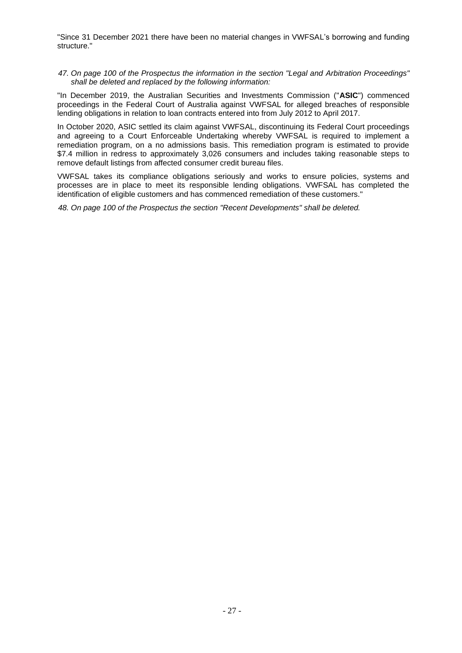"Since 31 December 2021 there have been no material changes in VWFSAL's borrowing and funding structure."

*47. On page 100 of the Prospectus the information in the section "Legal and Arbitration Proceedings" shall be deleted and replaced by the following information:*

"In December 2019, the Australian Securities and Investments Commission ("**ASIC**") commenced proceedings in the Federal Court of Australia against VWFSAL for alleged breaches of responsible lending obligations in relation to loan contracts entered into from July 2012 to April 2017.

In October 2020, ASIC settled its claim against VWFSAL, discontinuing its Federal Court proceedings and agreeing to a Court Enforceable Undertaking whereby VWFSAL is required to implement a remediation program, on a no admissions basis. This remediation program is estimated to provide \$7.4 million in redress to approximately 3,026 consumers and includes taking reasonable steps to remove default listings from affected consumer credit bureau files.

VWFSAL takes its compliance obligations seriously and works to ensure policies, systems and processes are in place to meet its responsible lending obligations. VWFSAL has completed the identification of eligible customers and has commenced remediation of these customers."

*48. On page 100 of the Prospectus the section "Recent Developments" shall be deleted.*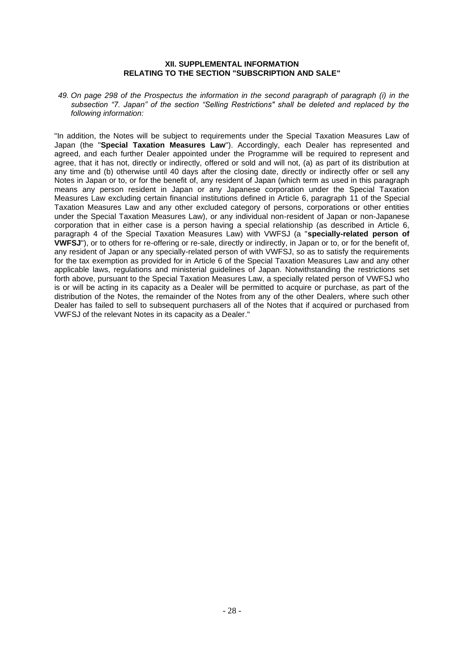# **XII. SUPPLEMENTAL INFORMATION RELATING TO THE SECTION "SUBSCRIPTION AND SALE"**

<span id="page-27-0"></span>*49. On page 298 of the Prospectus the information in the second paragraph of paragraph (i) in the subsection "7. Japan" of the section "Selling Restrictions" shall be deleted and replaced by the following information:* 

"In addition, the Notes will be subject to requirements under the Special Taxation Measures Law of Japan (the "**Special Taxation Measures Law**"). Accordingly, each Dealer has represented and agreed, and each further Dealer appointed under the Programme will be required to represent and agree, that it has not, directly or indirectly, offered or sold and will not, (a) as part of its distribution at any time and (b) otherwise until 40 days after the closing date, directly or indirectly offer or sell any Notes in Japan or to, or for the benefit of, any resident of Japan (which term as used in this paragraph means any person resident in Japan or any Japanese corporation under the Special Taxation Measures Law excluding certain financial institutions defined in Article 6, paragraph 11 of the Special Taxation Measures Law and any other excluded category of persons, corporations or other entities under the Special Taxation Measures Law), or any individual non-resident of Japan or non-Japanese corporation that in either case is a person having a special relationship (as described in Article 6, paragraph 4 of the Special Taxation Measures Law) with VWFSJ (a "**specially-related person of VWFSJ**"), or to others for re-offering or re-sale, directly or indirectly, in Japan or to, or for the benefit of, any resident of Japan or any specially-related person of with VWFSJ, so as to satisfy the requirements for the tax exemption as provided for in Article 6 of the Special Taxation Measures Law and any other applicable laws, regulations and ministerial guidelines of Japan. Notwithstanding the restrictions set forth above, pursuant to the Special Taxation Measures Law, a specially related person of VWFSJ who is or will be acting in its capacity as a Dealer will be permitted to acquire or purchase, as part of the distribution of the Notes, the remainder of the Notes from any of the other Dealers, where such other Dealer has failed to sell to subsequent purchasers all of the Notes that if acquired or purchased from VWFSJ of the relevant Notes in its capacity as a Dealer."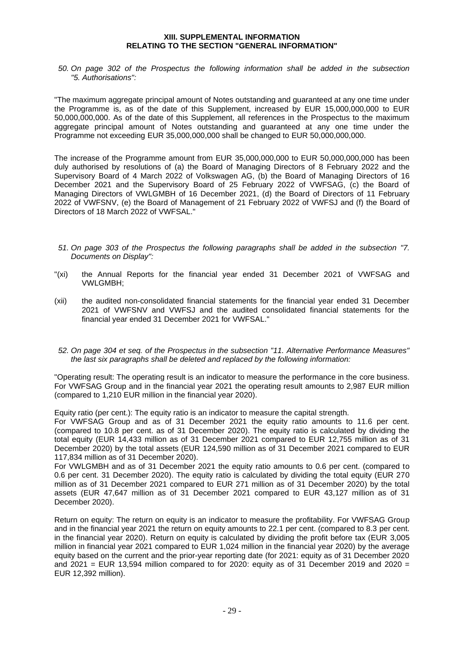# **XIII. SUPPLEMENTAL INFORMATION RELATING TO THE SECTION "GENERAL INFORMATION"**

<span id="page-28-0"></span>*50. On page 302 of the Prospectus the following information shall be added in the subsection "5. Authorisations":* 

"The maximum aggregate principal amount of Notes outstanding and guaranteed at any one time under the Programme is, as of the date of this Supplement, increased by EUR 15,000,000,000 to EUR 50,000,000,000. As of the date of this Supplement, all references in the Prospectus to the maximum aggregate principal amount of Notes outstanding and guaranteed at any one time under the Programme not exceeding EUR 35,000,000,000 shall be changed to EUR 50,000,000,000.

The increase of the Programme amount from EUR 35,000,000,000 to EUR 50,000,000,000 has been duly authorised by resolutions of (a) the Board of Managing Directors of 8 February 2022 and the Supervisory Board of 4 March 2022 of Volkswagen AG, (b) the Board of Managing Directors of 16 December 2021 and the Supervisory Board of 25 February 2022 of VWFSAG, (c) the Board of Managing Directors of VWLGMBH of 16 December 2021, (d) the Board of Directors of 11 February 2022 of VWFSNV, (e) the Board of Management of 21 February 2022 of VWFSJ and (f) the Board of Directors of 18 March 2022 of VWFSAL."

- *51. On page 303 of the Prospectus the following paragraphs shall be added in the subsection "7. Documents on Display":*
- "(xi) the Annual Reports for the financial year ended 31 December 2021 of VWFSAG and VWLGMBH;
- (xii) the audited non-consolidated financial statements for the financial year ended 31 December 2021 of VWFSNV and VWFSJ and the audited consolidated financial statements for the financial year ended 31 December 2021 for VWFSAL."
- *52. On page 304 et seq. of the Prospectus in the subsection "11. Alternative Performance Measures" the last six paragraphs shall be deleted and replaced by the following information:*

"Operating result: The operating result is an indicator to measure the performance in the core business. For VWFSAG Group and in the financial year 2021 the operating result amounts to 2,987 EUR million (compared to 1,210 EUR million in the financial year 2020).

Equity ratio (per cent.): The equity ratio is an indicator to measure the capital strength.

For VWFSAG Group and as of 31 December 2021 the equity ratio amounts to 11.6 per cent. (compared to 10.8 per cent. as of 31 December 2020). The equity ratio is calculated by dividing the total equity (EUR 14,433 million as of 31 December 2021 compared to EUR 12,755 million as of 31 December 2020) by the total assets (EUR 124,590 million as of 31 December 2021 compared to EUR 117,834 million as of 31 December 2020).

For VWLGMBH and as of 31 December 2021 the equity ratio amounts to 0.6 per cent. (compared to 0.6 per cent. 31 December 2020). The equity ratio is calculated by dividing the total equity (EUR 270 million as of 31 December 2021 compared to EUR 271 million as of 31 December 2020) by the total assets (EUR 47,647 million as of 31 December 2021 compared to EUR 43,127 million as of 31 December 2020).

Return on equity: The return on equity is an indicator to measure the profitability. For VWFSAG Group and in the financial year 2021 the return on equity amounts to 22.1 per cent. (compared to 8.3 per cent. in the financial year 2020). Return on equity is calculated by dividing the profit before tax (EUR 3,005 million in financial year 2021 compared to EUR 1,024 million in the financial year 2020) by the average equity based on the current and the prior-year reporting date (for 2021: equity as of 31 December 2020 and 2021 = EUR 13,594 million compared to for 2020: equity as of 31 December 2019 and 2020 = EUR 12,392 million).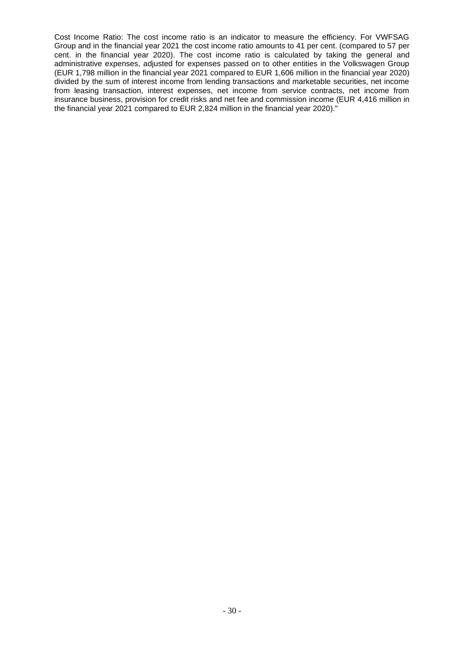Cost Income Ratio: The cost income ratio is an indicator to measure the efficiency. For VWFSAG Group and in the financial year 2021 the cost income ratio amounts to 41 per cent. (compared to 57 per cent. in the financial year 2020). The cost income ratio is calculated by taking the general and administrative expenses, adjusted for expenses passed on to other entities in the Volkswagen Group (EUR 1,798 million in the financial year 2021 compared to EUR 1,606 million in the financial year 2020) divided by the sum of interest income from lending transactions and marketable securities, net income from leasing transaction, interest expenses, net income from service contracts, net income from insurance business, provision for credit risks and net fee and commission income (EUR 4,416 million in the financial year 2021 compared to EUR 2,824 million in the financial year 2020)."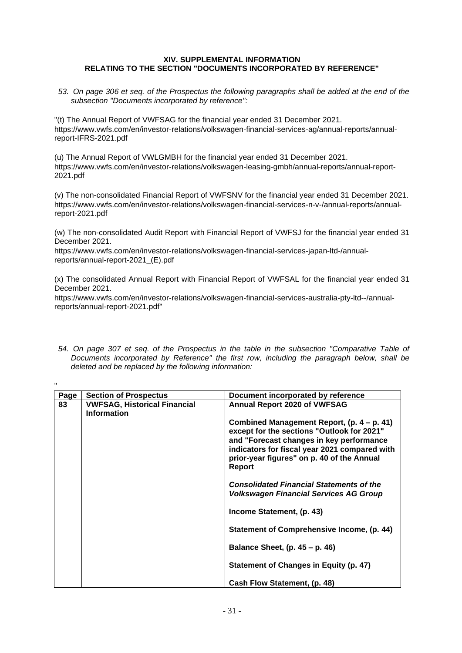# <span id="page-30-0"></span>**XIV. SUPPLEMENTAL INFORMATION RELATING TO THE SECTION "DOCUMENTS INCORPORATED BY REFERENCE"**

*53. On page 306 et seq. of the Prospectus the following paragraphs shall be added at the end of the subsection "Documents incorporated by reference":*

"(t) The Annual Report of VWFSAG for the financial year ended 31 December 2021. [https://www.vwfs.com/en/investor-relations/volkswagen-financial-services-ag/annual-reports/annual](https://www.vwfs.com/en/investor-relations/volkswagen-financial-services-ag/annual-reports/_jcr_content/content/section/section_parsys/downloadlist/downloadlist_parsys/downloaditem_1606146_1930437714/downloadbutton.download.pdf/EN%2520Final%2520GB%25202021%2520VW%2520FS%2520AG%2520IFRS.pdf)[report-IFRS-2021.pdf](https://www.vwfs.com/en/investor-relations/volkswagen-financial-services-ag/annual-reports/_jcr_content/content/section/section_parsys/downloadlist/downloadlist_parsys/downloaditem_1606146_1930437714/downloadbutton.download.pdf/EN%2520Final%2520GB%25202021%2520VW%2520FS%2520AG%2520IFRS.pdf)

(u) The Annual Report of VWLGMBH for the financial year ended 31 December 2021. [https://www.vwfs.com/en/investor-relations/volkswagen-leasing-gmbh/annual-reports/annual-report-](https://www.vwfs.com/en/investor-relations/volkswagen-leasing-gmbh/annual-reports/_jcr_content/content/section/section_parsys/downloadlist/downloadlist_parsys/downloaditem_copy_co_1403281922/downloadbutton.download.pdf/EN%2520GB%25202021%2520VW%2520Leasing%2520GmbH.pdf)[2021.pdf](https://www.vwfs.com/en/investor-relations/volkswagen-leasing-gmbh/annual-reports/_jcr_content/content/section/section_parsys/downloadlist/downloadlist_parsys/downloaditem_copy_co_1403281922/downloadbutton.download.pdf/EN%2520GB%25202021%2520VW%2520Leasing%2520GmbH.pdf)

(v) The non-consolidated Financial Report of VWFSNV for the financial year ended 31 December 2021. [https://www.vwfs.com/en/investor-relations/volkswagen-financial-services-n-v-/annual-reports/annual](https://www.vwfs.com/en/investor-relations/volkswagen-financial-services-n-v-/annual-reports/_jcr_content/content/section/section_parsys/downloadlist/downloadlist_parsys/downloaditem_copy_co_908166886/downloadbutton.download.pdf/FSNV%2520Financial%2520Report%25202021%2520-%2520copy.pdf)[report-2021.pdf](https://www.vwfs.com/en/investor-relations/volkswagen-financial-services-n-v-/annual-reports/_jcr_content/content/section/section_parsys/downloadlist/downloadlist_parsys/downloaditem_copy_co_908166886/downloadbutton.download.pdf/FSNV%2520Financial%2520Report%25202021%2520-%2520copy.pdf)

(w) The non-consolidated Audit Report with Financial Report of VWFSJ for the financial year ended 31 December 2021.

[https://www.vwfs.com/en/investor-relations/volkswagen-financial-services-japan-ltd-/annual](https://www.vwfs.com/en/investor-relations/volkswagen-financial-services-japan-ltd-/annual-reports/_jcr_content/content/section/section_parsys/downloadlist/downloadlist_parsys/downloaditem_copy_co_900946964/downloadbutton.download.pdf/VWFSJ_financials_FY2021_(E).pdf)[reports/annual-report-2021\\_\(E\).pdf](https://www.vwfs.com/en/investor-relations/volkswagen-financial-services-japan-ltd-/annual-reports/_jcr_content/content/section/section_parsys/downloadlist/downloadlist_parsys/downloaditem_copy_co_900946964/downloadbutton.download.pdf/VWFSJ_financials_FY2021_(E).pdf)

"

(x) The consolidated Annual Report with Financial Report of VWFSAL for the financial year ended 31 December 2021.

[https://www.vwfs.com/en/investor-relations/volkswagen-financial-services-australia-pty-ltd--/annual](https://www.vwfs.com/en/investor-relations/volkswagen-financial-services-australia-pty-ltd--/annual-reports/_jcr_content/content/section/section_parsys/downloadlist/downloadlist_parsys/downloaditem_copy_co/downloadbutton.download.pdf/VWFS%2520Australia%2520FY2021.pdf)[reports/annual-report-2021.pdf"](https://www.vwfs.com/en/investor-relations/volkswagen-financial-services-australia-pty-ltd--/annual-reports/_jcr_content/content/section/section_parsys/downloadlist/downloadlist_parsys/downloaditem_copy_co/downloadbutton.download.pdf/VWFS%2520Australia%2520FY2021.pdf)

*54. On page 307 et seq. of the Prospectus in the table in the subsection "Comparative Table of Documents incorporated by Reference" the first row, including the paragraph below, shall be deleted and be replaced by the following information:*

| Page | <b>Section of Prospectus</b>                              | Document incorporated by reference                                                                                                                                                                                                                   |
|------|-----------------------------------------------------------|------------------------------------------------------------------------------------------------------------------------------------------------------------------------------------------------------------------------------------------------------|
| 83   | <b>VWFSAG, Historical Financial</b><br><b>Information</b> | <b>Annual Report 2020 of VWFSAG</b>                                                                                                                                                                                                                  |
|      |                                                           | Combined Management Report, (p. 4 – p. 41)<br>except for the sections "Outlook for 2021"<br>and "Forecast changes in key performance<br>indicators for fiscal year 2021 compared with<br>prior-year figures" on p. 40 of the Annual<br><b>Report</b> |
|      |                                                           | <b>Consolidated Financial Statements of the</b><br><b>Volkswagen Financial Services AG Group</b>                                                                                                                                                     |
|      |                                                           | Income Statement, (p. 43)                                                                                                                                                                                                                            |
|      |                                                           | Statement of Comprehensive Income, (p. 44)                                                                                                                                                                                                           |
|      |                                                           | Balance Sheet, $(p. 45 - p. 46)$                                                                                                                                                                                                                     |
|      |                                                           | Statement of Changes in Equity (p. 47)                                                                                                                                                                                                               |
|      |                                                           | Cash Flow Statement, (p. 48)                                                                                                                                                                                                                         |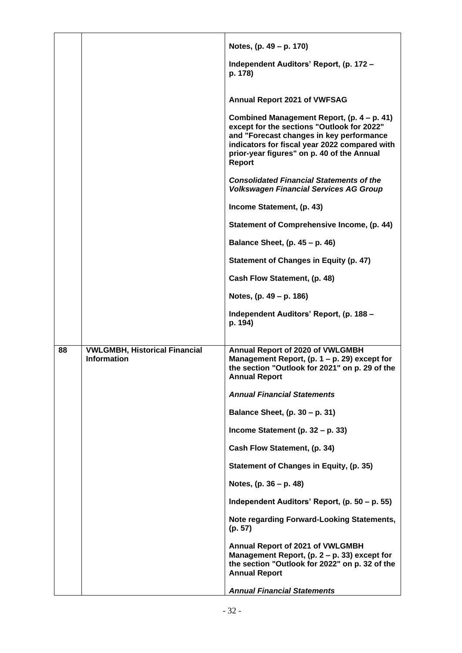|    |                                      | Notes, (p. 49 – p. 170)                                                                                                                                                                                                                              |
|----|--------------------------------------|------------------------------------------------------------------------------------------------------------------------------------------------------------------------------------------------------------------------------------------------------|
|    |                                      | Independent Auditors' Report, (p. 172 -<br>p. 178)                                                                                                                                                                                                   |
|    |                                      | Annual Report 2021 of VWFSAG                                                                                                                                                                                                                         |
|    |                                      | Combined Management Report, (p. 4 – p. 41)<br>except for the sections "Outlook for 2022"<br>and "Forecast changes in key performance<br>indicators for fiscal year 2022 compared with<br>prior-year figures" on p. 40 of the Annual<br><b>Report</b> |
|    |                                      | <b>Consolidated Financial Statements of the</b><br><b>Volkswagen Financial Services AG Group</b>                                                                                                                                                     |
|    |                                      | Income Statement, (p. 43)                                                                                                                                                                                                                            |
|    |                                      | Statement of Comprehensive Income, (p. 44)                                                                                                                                                                                                           |
|    |                                      | Balance Sheet, (p. 45 - p. 46)                                                                                                                                                                                                                       |
|    |                                      | <b>Statement of Changes in Equity (p. 47)</b>                                                                                                                                                                                                        |
|    |                                      | Cash Flow Statement, (p. 48)                                                                                                                                                                                                                         |
|    |                                      | Notes, (p. 49 – p. 186)                                                                                                                                                                                                                              |
|    |                                      | Independent Auditors' Report, (p. 188 -<br>p. 194)                                                                                                                                                                                                   |
| 88 | <b>VWLGMBH, Historical Financial</b> | Annual Report of 2020 of VWLGMBH                                                                                                                                                                                                                     |
|    | <b>Information</b>                   | Management Report, $(p. 1 - p. 29)$ except for<br>the section "Outlook for 2021" on p. 29 of the<br><b>Annual Report</b>                                                                                                                             |
|    |                                      | <b>Annual Financial Statements</b>                                                                                                                                                                                                                   |
|    |                                      | Balance Sheet, (p. 30 – p. 31)                                                                                                                                                                                                                       |
|    |                                      | Income Statement (p. $32 - p. 33$ )                                                                                                                                                                                                                  |
|    |                                      | Cash Flow Statement, (p. 34)                                                                                                                                                                                                                         |
|    |                                      | Statement of Changes in Equity, (p. 35)                                                                                                                                                                                                              |
|    |                                      | Notes, (p. 36 – p. 48)                                                                                                                                                                                                                               |
|    |                                      | Independent Auditors' Report, (p. 50 – p. 55)                                                                                                                                                                                                        |
|    |                                      | Note regarding Forward-Looking Statements,<br>(p. 57)                                                                                                                                                                                                |
|    |                                      | Annual Report of 2021 of VWLGMBH<br>Management Report, $(p. 2 - p. 33)$ except for<br>the section "Outlook for 2022" on p. 32 of the<br><b>Annual Report</b>                                                                                         |
|    |                                      | <b>Annual Financial Statements</b>                                                                                                                                                                                                                   |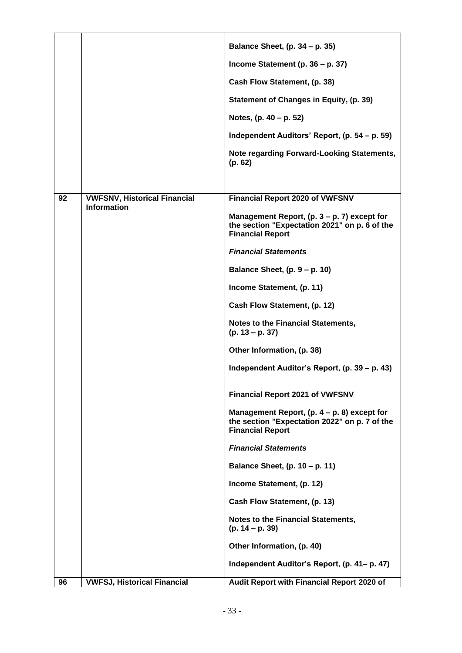|    |                                     | Balance Sheet, (p. 34 – p. 35)<br>Income Statement (p. 36 - p. 37)<br>Cash Flow Statement, (p. 38)<br>Statement of Changes in Equity, (p. 39)<br>Notes, $(p. 40 - p. 52)$<br>Independent Auditors' Report, (p. 54 – p. 59) |
|----|-------------------------------------|----------------------------------------------------------------------------------------------------------------------------------------------------------------------------------------------------------------------------|
|    |                                     | Note regarding Forward-Looking Statements,<br>(p. 62)                                                                                                                                                                      |
| 92 | <b>VWFSNV, Historical Financial</b> | <b>Financial Report 2020 of VWFSNV</b>                                                                                                                                                                                     |
|    | <b>Information</b>                  | Management Report, $(p. 3 - p. 7)$ except for<br>the section "Expectation 2021" on p. 6 of the<br><b>Financial Report</b>                                                                                                  |
|    |                                     | <b>Financial Statements</b>                                                                                                                                                                                                |
|    |                                     | Balance Sheet, (p. 9 - p. 10)                                                                                                                                                                                              |
|    |                                     | Income Statement, (p. 11)                                                                                                                                                                                                  |
|    |                                     | Cash Flow Statement, (p. 12)                                                                                                                                                                                               |
|    |                                     | Notes to the Financial Statements,<br>$(p. 13 - p. 37)$                                                                                                                                                                    |
|    |                                     | Other Information, (p. 38)                                                                                                                                                                                                 |
|    |                                     | Independent Auditor's Report, (p. 39 – p. 43)                                                                                                                                                                              |
|    |                                     | <b>Financial Report 2021 of VWFSNV</b>                                                                                                                                                                                     |
|    |                                     | Management Report, $(p. 4 - p. 8)$ except for<br>the section "Expectation 2022" on p. 7 of the<br><b>Financial Report</b>                                                                                                  |
|    |                                     | <b>Financial Statements</b>                                                                                                                                                                                                |
|    |                                     | Balance Sheet, (p. 10 - p. 11)                                                                                                                                                                                             |
|    |                                     | Income Statement, (p. 12)                                                                                                                                                                                                  |
|    |                                     | Cash Flow Statement, (p. 13)                                                                                                                                                                                               |
|    |                                     | <b>Notes to the Financial Statements,</b><br>$(p. 14 - p. 39)$                                                                                                                                                             |
|    |                                     | Other Information, (p. 40)                                                                                                                                                                                                 |
|    |                                     | Independent Auditor's Report, (p. 41– p. 47)                                                                                                                                                                               |
| 96 | <b>VWFSJ, Historical Financial</b>  | Audit Report with Financial Report 2020 of                                                                                                                                                                                 |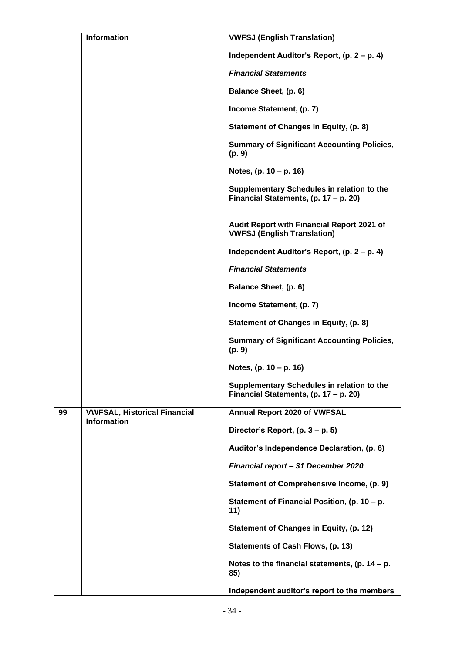|    | <b>Information</b>                                        | <b>VWFSJ (English Translation)</b>                                                  |
|----|-----------------------------------------------------------|-------------------------------------------------------------------------------------|
|    |                                                           | Independent Auditor's Report, (p. 2 – p. 4)                                         |
|    |                                                           | <b>Financial Statements</b>                                                         |
|    |                                                           | Balance Sheet, (p. 6)                                                               |
|    |                                                           | Income Statement, (p. 7)                                                            |
|    |                                                           | Statement of Changes in Equity, (p. 8)                                              |
|    |                                                           | <b>Summary of Significant Accounting Policies,</b><br>(p. 9)                        |
|    |                                                           | Notes, (p. 10 – p. 16)                                                              |
|    |                                                           | Supplementary Schedules in relation to the<br>Financial Statements, (p. 17 - p. 20) |
|    |                                                           | Audit Report with Financial Report 2021 of<br><b>VWFSJ (English Translation)</b>    |
|    |                                                           | Independent Auditor's Report, (p. 2 – p. 4)                                         |
|    |                                                           | <b>Financial Statements</b>                                                         |
|    |                                                           | Balance Sheet, (p. 6)                                                               |
|    |                                                           | Income Statement, (p. 7)                                                            |
|    |                                                           | Statement of Changes in Equity, (p. 8)                                              |
|    |                                                           | <b>Summary of Significant Accounting Policies,</b><br>(p. 9)                        |
|    |                                                           | Notes, (p. 10 – p. 16)                                                              |
|    |                                                           | Supplementary Schedules in relation to the<br>Financial Statements, (p. 17 - p. 20) |
| 99 | <b>VWFSAL, Historical Financial</b><br><b>Information</b> | Annual Report 2020 of VWFSAL                                                        |
|    |                                                           | Director's Report, $(p. 3 - p. 5)$                                                  |
|    |                                                           | Auditor's Independence Declaration, (p. 6)                                          |
|    |                                                           | Financial report - 31 December 2020                                                 |
|    |                                                           | Statement of Comprehensive Income, (p. 9)                                           |
|    |                                                           | Statement of Financial Position, (p. 10 - p.<br>11)                                 |
|    |                                                           | Statement of Changes in Equity, (p. 12)                                             |
|    |                                                           | <b>Statements of Cash Flows, (p. 13)</b>                                            |
|    |                                                           | Notes to the financial statements, (p. $14 - p$ .<br>85)                            |
|    |                                                           | Independent auditor's report to the members                                         |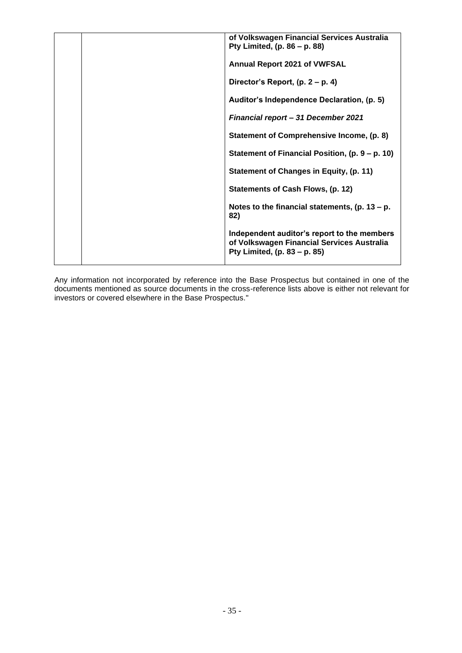|  | of Volkswagen Financial Services Australia<br>Pty Limited, (p. 86 – p. 88)                                                |
|--|---------------------------------------------------------------------------------------------------------------------------|
|  | <b>Annual Report 2021 of VWFSAL</b>                                                                                       |
|  | Director's Report, $(p. 2 - p. 4)$                                                                                        |
|  | Auditor's Independence Declaration, (p. 5)                                                                                |
|  | <b>Financial report - 31 December 2021</b>                                                                                |
|  | Statement of Comprehensive Income, (p. 8)                                                                                 |
|  | Statement of Financial Position, (p. 9 – p. 10)                                                                           |
|  | Statement of Changes in Equity, (p. 11)                                                                                   |
|  | Statements of Cash Flows, (p. 12)                                                                                         |
|  | Notes to the financial statements, $(p. 13 - p.$<br>82)                                                                   |
|  | Independent auditor's report to the members<br>of Volkswagen Financial Services Australia<br>Pty Limited, (p. 83 - p. 85) |
|  |                                                                                                                           |

Any information not incorporated by reference into the Base Prospectus but contained in one of the documents mentioned as source documents in the cross-reference lists above is either not relevant for investors or covered elsewhere in the Base Prospectus."